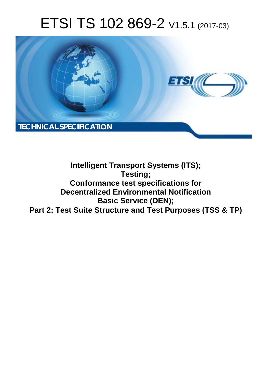# ETSI TS 102 869-2 V1.5.1 (2017-03)



# **Intelligent Transport Systems (ITS); Testing; Conformance test specifications for Decentralized Environmental Notification Basic Service (DEN); Part 2: Test Suite Structure and Test Purposes (TSS & TP)**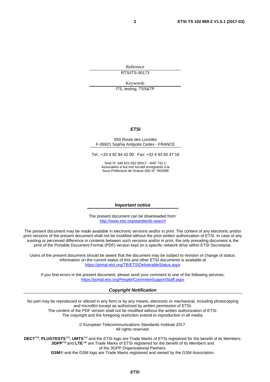Reference

RTS/ITS-00173

Keywords

ITS, testing, TSS&TP

#### *ETSI*

#### 650 Route des Lucioles F-06921 Sophia Antipolis Cedex - FRANCE

Tel.: +33 4 92 94 42 00 Fax: +33 4 93 65 47 16

Siret N° 348 623 562 00017 - NAF 742 C Association à but non lucratif enregistrée à la Sous-Préfecture de Grasse (06) N° 7803/88

#### *Important notice*

The present document can be downloaded from: <http://www.etsi.org/standards-search>

The present document may be made available in electronic versions and/or in print. The content of any electronic and/or print versions of the present document shall not be modified without the prior written authorization of ETSI. In case of any existing or perceived difference in contents between such versions and/or in print, the only prevailing document is the print of the Portable Document Format (PDF) version kept on a specific network drive within ETSI Secretariat.

Users of the present document should be aware that the document may be subject to revision or change of status. Information on the current status of this and other ETSI documents is available at <https://portal.etsi.org/TB/ETSIDeliverableStatus.aspx>

If you find errors in the present document, please send your comment to one of the following services: <https://portal.etsi.org/People/CommiteeSupportStaff.aspx>

#### *Copyright Notification*

No part may be reproduced or utilized in any form or by any means, electronic or mechanical, including photocopying and microfilm except as authorized by written permission of ETSI.

The content of the PDF version shall not be modified without the written authorization of ETSI. The copyright and the foregoing restriction extend to reproduction in all media.

> © European Telecommunications Standards Institute 2017. All rights reserved.

**DECT**TM, **PLUGTESTS**TM, **UMTS**TM and the ETSI logo are Trade Marks of ETSI registered for the benefit of its Members. **3GPP**TM and **LTE**™ are Trade Marks of ETSI registered for the benefit of its Members and of the 3GPP Organizational Partners.

**GSM**® and the GSM logo are Trade Marks registered and owned by the GSM Association.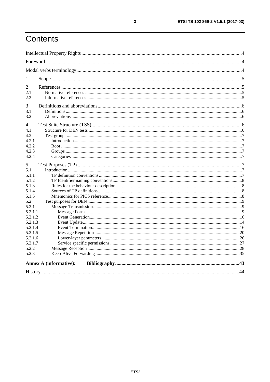# Contents

| 1       |                               |  |
|---------|-------------------------------|--|
| 2       |                               |  |
| 2.1     |                               |  |
| 2.2     |                               |  |
| 3       |                               |  |
| 3.1     |                               |  |
| 3.2     |                               |  |
| 4       |                               |  |
| 4.1     |                               |  |
| 4.2     |                               |  |
| 4.2.1   |                               |  |
| 4.2.2   |                               |  |
| 4.2.3   |                               |  |
| 4.2.4   |                               |  |
| 5       |                               |  |
| 5.1     |                               |  |
| 5.1.1   |                               |  |
| 5.1.2   |                               |  |
| 5.1.3   |                               |  |
| 5.1.4   |                               |  |
| 5.1.5   |                               |  |
| 5.2     |                               |  |
| 5.2.1   |                               |  |
| 5.2.1.1 |                               |  |
| 5.2.1.2 |                               |  |
| 5.2.1.3 |                               |  |
| 5.2.1.4 |                               |  |
| 5.2.1.5 |                               |  |
| 5.2.1.6 |                               |  |
| 5.2.1.7 |                               |  |
| 5.2.2   |                               |  |
| 5.2.3   |                               |  |
|         |                               |  |
|         | <b>Annex A (informative):</b> |  |
|         |                               |  |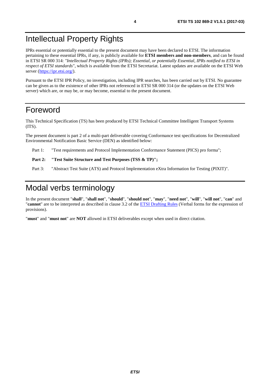# <span id="page-3-0"></span>Intellectual Property Rights

IPRs essential or potentially essential to the present document may have been declared to ETSI. The information pertaining to these essential IPRs, if any, is publicly available for **ETSI members and non-members**, and can be found in ETSI SR 000 314: *"Intellectual Property Rights (IPRs); Essential, or potentially Essential, IPRs notified to ETSI in respect of ETSI standards"*, which is available from the ETSI Secretariat. Latest updates are available on the ETSI Web server ([https://ipr.etsi.org/\)](https://ipr.etsi.org/).

Pursuant to the ETSI IPR Policy, no investigation, including IPR searches, has been carried out by ETSI. No guarantee can be given as to the existence of other IPRs not referenced in ETSI SR 000 314 (or the updates on the ETSI Web server) which are, or may be, or may become, essential to the present document.

# Foreword

This Technical Specification (TS) has been produced by ETSI Technical Committee Intelligent Transport Systems (ITS).

The present document is part 2 of a multi-part deliverable covering Conformance test specifications for Decentralized Environmental Notification Basic Service (DEN) as identified below:

Part 1: "Test requirements and Protocol Implementation Conformance Statement (PICS) pro forma";

#### Part 2: "Test Suite Structure and Test Purposes (TSS & TP)";

Part 3: "Abstract Test Suite (ATS) and Protocol Implementation eXtra Information for Testing (PIXIT)".

# Modal verbs terminology

In the present document "**shall**", "**shall not**", "**should**", "**should not**", "**may**", "**need not**", "**will**", "**will not**", "**can**" and "**cannot**" are to be interpreted as described in clause 3.2 of the [ETSI Drafting Rules](https://portal.etsi.org/Services/editHelp!/Howtostart/ETSIDraftingRules.aspx) (Verbal forms for the expression of provisions).

"**must**" and "**must not**" are **NOT** allowed in ETSI deliverables except when used in direct citation.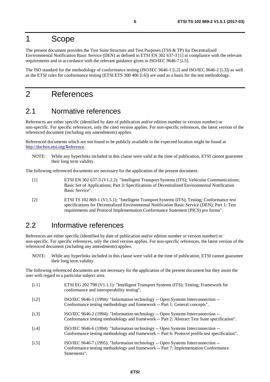# <span id="page-4-0"></span>1 Scope

The present document provides the Test Suite Structure and Test Purposes (TSS & TP) for Decentralized Environmental Notification Basic Service (DEN) as defined in ETSI EN 302 637-3 [1] in compliance with the relevant requirements and in accordance with the relevant guidance given in ISO/IEC 9646-7 [i.5].

The ISO standard for the methodology of conformance testing (ISO/IEC 9646-1 [i.2] and ISO/IEC 9646-2 [i.3]) as well as the ETSI rules for conformance testing (ETSI ETS 300 406 [[i.6](#page-5-0)]) are used as a basis for the test methodology.

# 2 References

### 2.1 Normative references

References are either specific (identified by date of publication and/or edition number or version number) or non-specific. For specific references, only the cited version applies. For non-specific references, the latest version of the referenced document (including any amendments) applies.

Referenced documents which are not found to be publicly available in the expected location might be found at [http://docbox.etsi.org/Reference.](http://docbox.etsi.org/Reference)

NOTE: While any hyperlinks included in this clause were valid at the time of publication, ETSI cannot guarantee their long term validity.

The following referenced documents are necessary for the application of the present document.

- [1] ETSI EN 302 637-3 (V1.2.2): "Intelligent Transport Systems (ITS); Vehicular Communications; Basic Set of Applications; Part 3: Specifications of Decentralized Environmental Notification Basic Service".
- [2] ETSI TS 102 869-1 (V1.5.1): "Intelligent Transport Systems (ITS); Testing; Conformance test specifications for Decentralized Environmental Notification Basic Service (DEN); Part 1: Test requirements and Protocol Implementation Conformance Statement (PICS) pro forma".

# 2.2 Informative references

References are either specific (identified by date of publication and/or edition number or version number) or non-specific. For specific references, only the cited version applies. For non-specific references, the latest version of the referenced document (including any amendments) applies.

NOTE: While any hyperlinks included in this clause were valid at the time of publication, ETSI cannot guarantee their long term validity.

The following referenced documents are not necessary for the application of the present document but they assist the user with regard to a particular subject area.

- [i.1] ETSI EG 202 798 (V1.1.1): "Intelligent Transport Systems (ITS); Testing; Framework for conformance and interoperability testing".
- [i.2] ISO/IEC 9646-1 (1994): "Information technology -- Open Systems Interconnection -- Conformance testing methodology and framework -- Part 1: General concepts".
- [i.3] ISO/IEC 9646-2 (1994): "Information technology -- Open Systems Interconnection -- Conformance testing methodology and framework -- Part 2: Abstract Test Suite specification".
- [i.4] ISO/IEC 9646-6 (1994): "Information technology -- Open Systems Interconnection -- Conformance testing methodology and framework -- Part 6: Protocol profile test specification".
- [i.5] ISO/IEC 9646-7 (1995): "Information technology -- Open Systems Interconnection -- Conformance testing methodology and framework -- Part 7: Implementation Conformance Statements".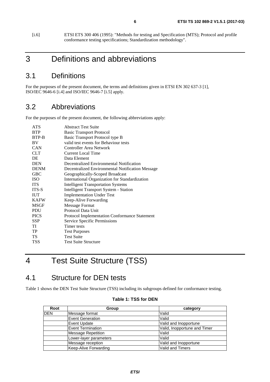<span id="page-5-0"></span>[i.6] ETSI ETS 300 406 (1995): "Methods for testing and Specification (MTS); Protocol and profile conformance testing specifications; Standardization methodology".

# 3 Definitions and abbreviations

# 3.1 Definitions

For the purposes of the present document, the terms and definitions given in ETSI EN 302 637-3 [[1\]](#page-4-0), ISO/IEC 9646-6 [[i.4](#page-4-0)] and ISO/IEC 9646-7 [\[i.5](#page-4-0)] apply.

# 3.2 Abbreviations

For the purposes of the present document, the following abbreviations apply:

| <b>ATS</b>  | <b>Abstract Test Suite</b>                           |
|-------------|------------------------------------------------------|
| <b>BTP</b>  | <b>Basic Transport Protocol</b>                      |
| BTP-B       | Basic Transport Protocol type B                      |
| BV          | valid test events for Behaviour tests                |
| <b>CAN</b>  | Controller Area Network                              |
| <b>CLT</b>  | <b>Current Local Time</b>                            |
| DE          | Data Element                                         |
| <b>DEN</b>  | Decentralized Environmental Notification             |
| <b>DENM</b> | Decentralized Environmental Notification Message     |
| <b>GBC</b>  | Geographically-Scoped Broadcast                      |
| <b>ISO</b>  | International Organization for Standardization       |
| <b>ITS</b>  | <b>Intelligent Transportation Systems</b>            |
| ITS-S       | <b>Intelligent Transport System - Station</b>        |
| <b>IUT</b>  | <b>Implementation Under Test</b>                     |
| <b>KAFW</b> | Keep-Alive Forwarding                                |
| <b>MSGF</b> | Message Format                                       |
| <b>PDU</b>  | Protocol Data Unit                                   |
| <b>PICS</b> | <b>Protocol Implementation Conformance Statement</b> |
| <b>SSP</b>  | Service Specific Permissions                         |
| TI          | Timer tests                                          |
| <b>TP</b>   | <b>Test Purposes</b>                                 |
| TS          | <b>Test Suite</b>                                    |
| <b>TSS</b>  | <b>Test Suite Structure</b>                          |

4 Test Suite Structure (TSS)

# 4.1 Structure for DEN tests

Table 1 shows the DEN Test Suite Structure (TSS) including its subgroups defined for conformance testing.

| Root       | Group                     | category                     |
|------------|---------------------------|------------------------------|
| <b>DEN</b> | Message format            | Valid                        |
|            | Event Generation          | Valid                        |
|            | <b>Event Update</b>       | Valid and Inopportune        |
|            | <b>Event Termination</b>  | Valid, Inopportune and Timer |
|            | <b>Message Repetition</b> | Valid                        |
|            | Lower-layer parameters    | Valid                        |
|            | Message reception         | Valid and Inopportune        |
|            | Keep-Alive Forwarding     | <b>Valid and Timers</b>      |

#### **Table 1: TSS for DEN**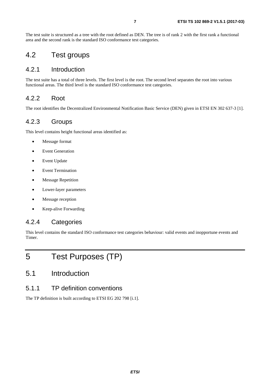<span id="page-6-0"></span>The test suite is structured as a tree with the root defined as DEN. The tree is of rank 2 with the first rank a functional area and the second rank is the standard ISO conformance test categories.

# 4.2 Test groups

#### 4.2.1 Introduction

The test suite has a total of three levels. The first level is the root. The second level separates the root into various functional areas. The third level is the standard ISO conformance test categories.

### 4.2.2 Root

The root identifies the Decentralized Environmental Notification Basic Service (DEN) given in ETSI EN 302 637-3 [\[1](#page-4-0)].

### 4.2.3 Groups

This level contains height functional areas identified as:

- Message format
- Event Generation
- Event Update
- Event Termination
- Message Repetition
- Lower-layer parameters
- Message reception
- Keep-alive Forwarding

### 4.2.4 Categories

This level contains the standard ISO conformance test categories behaviour: valid events and inopportune events and Timer.

# 5 Test Purposes (TP)

# 5.1 Introduction

### 5.1.1 TP definition conventions

The TP definition is built according to ETSI EG 202 798 [\[i.1](#page-4-0)].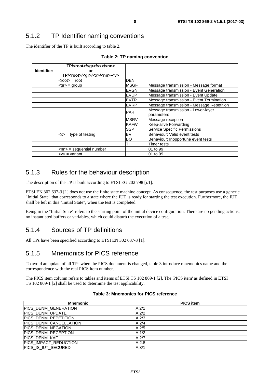### <span id="page-7-0"></span>5.1.2 TP Identifier naming conventions

The identifier of the TP is built according to table 2.

|  |  |  |  | Table 2: TP naming convention |
|--|--|--|--|-------------------------------|
|--|--|--|--|-------------------------------|

|             | TP/ <root>/<gr>/<x>/<nn></nn></x></gr></root>         |             |                                           |
|-------------|-------------------------------------------------------|-------------|-------------------------------------------|
| Identifier: | or                                                    |             |                                           |
|             | TP/ <root>/<gr>/<x>/<nn>-<v></v></nn></x></gr></root> |             |                                           |
|             | <root> = root</root>                                  | <b>DEN</b>  |                                           |
|             | <gr> = group</gr>                                     | <b>MSGF</b> | Message transmission - Message format     |
|             |                                                       | <b>EVGN</b> | Message transmission - Event Generation   |
|             |                                                       | <b>EVUP</b> | Message transmission - Event Update       |
|             |                                                       | <b>EVTR</b> | Message transmission - Event Termination  |
|             |                                                       | EVRP        | Message transmission - Message Repetition |
|             |                                                       | <b>PAR</b>  | Message transmission - Lower-layer        |
|             |                                                       |             | parameters                                |
|             |                                                       | <b>MSRV</b> | Message reception                         |
|             |                                                       | <b>KAFW</b> | Keep-alive Forwarding                     |
|             |                                                       | <b>SSP</b>  | <b>Service Specific Permissions</b>       |
|             | $\langle x \rangle$ = type of testing                 | <b>BV</b>   | Behaviour: Valid event tests              |
|             |                                                       | BO          | Behaviour: Inopportune event tests        |
|             |                                                       | TI          | <b>Timer tests</b>                        |
|             | $\langle$ nn> = sequential number                     |             | 01 to 99                                  |
|             | $< v>$ = variant                                      |             | 01 to 99                                  |

### 5.1.3 Rules for the behaviour description

The description of the TP is built according to ETSI EG 202 798 [\[i.1\]](#page-4-0).

ETSI EN 302 637-3 [[1](#page-4-0)] does not use the finite state machine concept. As consequence, the test purposes use a generic "Initial State" that corresponds to a state where the IUT is ready for starting the test execution. Furthermore, the IUT shall be left in this "Initial State", when the test is completed.

Being in the "Initial State" refers to the starting point of the initial device configuration. There are no pending actions, no instantiated buffers or variables, which could disturb the execution of a test.

### 5.1.4 Sources of TP definitions

All TPs have been specified according to ETSI EN 302 637-3 [\[1\]](#page-4-0).

### 5.1.5 Mnemonics for PICS reference

To avoid an update of all TPs when the PICS document is changed, table 3 introduce mnemonics name and the correspondence with the real PICS item number.

The PICS item column refers to tables and items of ETSI TS 102 869-1 [[2\]](#page-4-0). The 'PICS item' as defined in ETSI TS 102 869-1 [\[2\]](#page-4-0) shall be used to determine the test applicability.

#### **Table 3: Mnemonics for PICS reference**

| <b>Mnemonic</b>               | <b>PICS item</b> |
|-------------------------------|------------------|
| PICS_DENM_GENERATION          | A.2/1            |
| PICS DENM UPDATE              | A.2/2            |
| <b>PICS DENM REPETITION</b>   | A.2/3            |
| <b>PICS DENM CANCELLATION</b> | A.2/4            |
| <b>PICS DENM NEGATION</b>     | A.2/5            |
| PICS_DENM_RECEPTION           | A.1/2            |
| <b>IPICS DENM KAF</b>         | A.2/7            |
| PICS_IMPACT_REDUCTION         | A.2.8            |
| PICS IS IUT SECURED           | A.3/1            |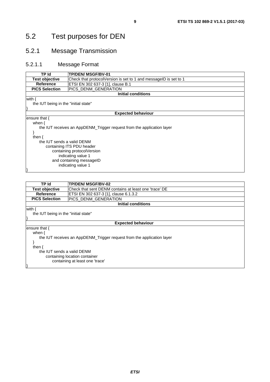# <span id="page-8-0"></span>5.2 Test purposes for DEN

### 5.2.1 Message Transmission

#### 5.2.1.1 Message Format

| TP Id                                | <b>TP/DEN/ MSGF/BV-01</b>                                              |  |
|--------------------------------------|------------------------------------------------------------------------|--|
| <b>Test objective</b>                | Check that protocolVersion is set to 1 and messageID is set to 1       |  |
| Reference                            | ETSI EN 302 637-3 [1], clause B.1                                      |  |
| <b>PICS Selection</b>                | PICS_DENM_GENERATION                                                   |  |
|                                      | <b>Initial conditions</b>                                              |  |
| with $\{$                            |                                                                        |  |
| the IUT being in the "initial state" |                                                                        |  |
|                                      |                                                                        |  |
|                                      | <b>Expected behaviour</b>                                              |  |
| ensure that {                        |                                                                        |  |
| when $\{$                            |                                                                        |  |
|                                      | the IUT receives an AppDENM_Trigger request from the application layer |  |
|                                      |                                                                        |  |
| then $\{$                            |                                                                        |  |
| the IUT sends a valid DENM           |                                                                        |  |
| containing ITS PDU header            |                                                                        |  |
| containing protocolVersion           |                                                                        |  |
| indicating value 1                   |                                                                        |  |
|                                      | and containing messageID                                               |  |
|                                      | indicating value 1                                                     |  |
|                                      |                                                                        |  |

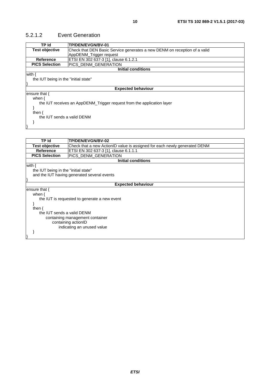### <span id="page-9-0"></span>5.2.1.2 Event Generation

| TP Id                                | <b>TP/DEN/EVGN/BV-01</b>                                                  |  |  |
|--------------------------------------|---------------------------------------------------------------------------|--|--|
| <b>Test objective</b>                | Check that DEN Basic Service generates a new DENM on reception of a valid |  |  |
|                                      | AppDENM_Trigger request                                                   |  |  |
| <b>Reference</b>                     | ETSI EN 302 637-3 [1], clause 6.1.2.1                                     |  |  |
| <b>PICS Selection</b>                | PICS DENM GENERATION                                                      |  |  |
|                                      | <b>Initial conditions</b>                                                 |  |  |
| with $\{$                            |                                                                           |  |  |
| the IUT being in the "initial state" |                                                                           |  |  |
|                                      |                                                                           |  |  |
|                                      | <b>Expected behaviour</b>                                                 |  |  |
| ensure that $\{$                     |                                                                           |  |  |
| when $\{$                            |                                                                           |  |  |
|                                      | the IUT receives an AppDENM_Trigger request from the application layer    |  |  |
|                                      |                                                                           |  |  |
| then $\{$                            |                                                                           |  |  |
| the IUT sends a valid DENM           |                                                                           |  |  |
|                                      |                                                                           |  |  |
|                                      |                                                                           |  |  |
|                                      |                                                                           |  |  |
| 78 L.                                | TRIBELIEVALIBY 00                                                         |  |  |

| I P Id                               | <b>IP/DEN/EVGN/BV-02</b>                                                  |  |  |  |
|--------------------------------------|---------------------------------------------------------------------------|--|--|--|
| <b>Test objective</b>                | Check that a new ActionID value is assigned for each newly generated DENM |  |  |  |
| Reference                            | ETSI EN 302 637-3 [1], clause 6.1.1.1                                     |  |  |  |
| <b>PICS Selection</b>                | PICS DENM GENERATION                                                      |  |  |  |
|                                      | <b>Initial conditions</b>                                                 |  |  |  |
| with {                               |                                                                           |  |  |  |
| the IUT being in the "initial state" |                                                                           |  |  |  |
|                                      | and the IUT having generated several events                               |  |  |  |
|                                      |                                                                           |  |  |  |
|                                      | <b>Expected behaviour</b>                                                 |  |  |  |
| ensure that $\{$                     |                                                                           |  |  |  |
| when $\{$                            |                                                                           |  |  |  |
|                                      | the IUT is requested to generate a new event                              |  |  |  |
|                                      |                                                                           |  |  |  |
| then $\{$                            |                                                                           |  |  |  |
| the IUT sends a valid DENM           |                                                                           |  |  |  |
| containing management container      |                                                                           |  |  |  |
| containing actionID                  |                                                                           |  |  |  |
|                                      | indicating an unused value                                                |  |  |  |
|                                      |                                                                           |  |  |  |
|                                      |                                                                           |  |  |  |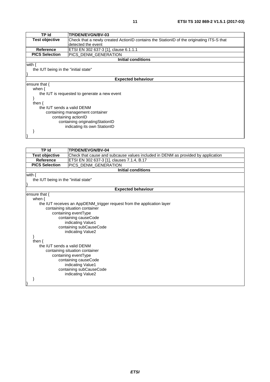| TP Id                                | <b>TP/DEN/EVGN/BV-03</b>                                                                 |  |  |
|--------------------------------------|------------------------------------------------------------------------------------------|--|--|
| <b>Test objective</b>                | Check that a newly created ActionID contains the StationID of the originating ITS-S that |  |  |
|                                      | detected the event                                                                       |  |  |
| <b>Reference</b>                     | ETSI EN 302 637-3 [1], clause 6.1.1.1                                                    |  |  |
| <b>PICS Selection</b>                | PICS DENM GENERATION                                                                     |  |  |
|                                      | <b>Initial conditions</b>                                                                |  |  |
| with $\{$                            |                                                                                          |  |  |
| the IUT being in the "initial state" |                                                                                          |  |  |
|                                      |                                                                                          |  |  |
|                                      | <b>Expected behaviour</b>                                                                |  |  |
| ensure that $\{$                     |                                                                                          |  |  |
| when $\{$                            |                                                                                          |  |  |
|                                      | the IUT is requested to generate a new event                                             |  |  |
|                                      |                                                                                          |  |  |
| then $\{$                            |                                                                                          |  |  |
| the IUT sends a valid DENM           |                                                                                          |  |  |
| containing management container      |                                                                                          |  |  |
| containing actionID                  |                                                                                          |  |  |
| containing originatingStationID      |                                                                                          |  |  |
|                                      | indicating its own StationID                                                             |  |  |
|                                      |                                                                                          |  |  |
|                                      |                                                                                          |  |  |

| $TF$ Id                              | TP/DEN/EVGN/BV-04                                                                |  |  |
|--------------------------------------|----------------------------------------------------------------------------------|--|--|
| <b>Test objective</b>                | Check that cause and subcause values included in DENM as provided by application |  |  |
| <b>Reference</b>                     | ETSI EN 302 637-3 [1], clauses 7.1.4, B.17                                       |  |  |
| <b>PICS Selection</b>                | PICS_DENM_GENERATION                                                             |  |  |
|                                      | Initial conditions                                                               |  |  |
| with $\{$                            |                                                                                  |  |  |
| the IUT being in the "initial state" |                                                                                  |  |  |
|                                      |                                                                                  |  |  |
|                                      | <b>Expected behaviour</b>                                                        |  |  |
| ensure that {                        |                                                                                  |  |  |
| when $\{$                            |                                                                                  |  |  |
|                                      | the IUT receives an AppDENM_trigger request from the application layer           |  |  |
|                                      | containing situation container                                                   |  |  |
|                                      | containing eventType                                                             |  |  |
|                                      | containing causeCode                                                             |  |  |
|                                      | indicating Value1                                                                |  |  |
|                                      | containing subCauseCode                                                          |  |  |
|                                      | indicating Value2                                                                |  |  |
|                                      |                                                                                  |  |  |
| then $\{$                            |                                                                                  |  |  |
| the IUT sends a valid DENM           |                                                                                  |  |  |
|                                      | containing situation container                                                   |  |  |
| containing eventType                 |                                                                                  |  |  |
| containing causeCode                 |                                                                                  |  |  |
| indicating Value1                    |                                                                                  |  |  |
| containing subCauseCode              |                                                                                  |  |  |
|                                      | indicating Value2                                                                |  |  |
|                                      |                                                                                  |  |  |
|                                      |                                                                                  |  |  |
|                                      |                                                                                  |  |  |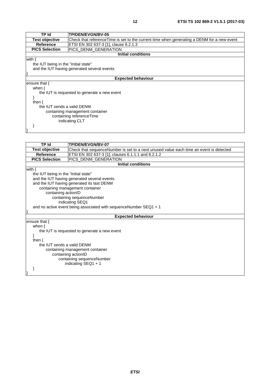| TP Id                                | <b>TP/DEN/EVGN/BV-05</b>                                                                    |  |  |  |
|--------------------------------------|---------------------------------------------------------------------------------------------|--|--|--|
| <b>Test objective</b>                | Check that reference Time is set to the current time when generating a DENM for a new event |  |  |  |
| <b>Reference</b>                     | ETSI EN 302 637-3 [1], clause 8.2.1.3                                                       |  |  |  |
| <b>PICS Selection</b>                | PICS DENM GENERATION                                                                        |  |  |  |
|                                      | <b>Initial conditions</b>                                                                   |  |  |  |
| with {                               |                                                                                             |  |  |  |
| the IUT being in the "initial state" |                                                                                             |  |  |  |
|                                      | and the IUT having generated several events                                                 |  |  |  |
|                                      |                                                                                             |  |  |  |
|                                      | <b>Expected behaviour</b>                                                                   |  |  |  |
| ensure that {                        |                                                                                             |  |  |  |
| when $\{$                            |                                                                                             |  |  |  |
|                                      | the IUT is requested to generate a new event                                                |  |  |  |
|                                      |                                                                                             |  |  |  |
| then $\{$                            |                                                                                             |  |  |  |
| the IUT sends a valid DENM           |                                                                                             |  |  |  |
| containing management container      |                                                                                             |  |  |  |
| containing reference Time            |                                                                                             |  |  |  |
| indicating CLT                       |                                                                                             |  |  |  |
|                                      |                                                                                             |  |  |  |
|                                      |                                                                                             |  |  |  |

| <b>TP Id</b>                    | TP/DEN/EVGN/BV-07                                                                      |  |  |
|---------------------------------|----------------------------------------------------------------------------------------|--|--|
| <b>Test objective</b>           | Check that sequenceNumber is set to a next unused value each time an event is detected |  |  |
| <b>Reference</b>                | ETSI EN 302 637-3 [1], clauses 6.1.1.1 and 8.2.1.2                                     |  |  |
| <b>PICS Selection</b>           | PICS_DENM_GENERATION                                                                   |  |  |
|                                 | <b>Initial conditions</b>                                                              |  |  |
| with $\{$                       |                                                                                        |  |  |
|                                 | the IUT being in the "initial state"                                                   |  |  |
|                                 | and the IUT having generated several events                                            |  |  |
|                                 | and the IUT having generated its last DENM                                             |  |  |
|                                 | containing management container                                                        |  |  |
| containing actionID             |                                                                                        |  |  |
|                                 | containing sequenceNumber                                                              |  |  |
|                                 | indicating SEQ1                                                                        |  |  |
|                                 | and no active event being associated with sequenceNumber SEQ1 + 1                      |  |  |
|                                 |                                                                                        |  |  |
|                                 | <b>Expected behaviour</b>                                                              |  |  |
| ensure that $\{$                |                                                                                        |  |  |
| when $\{$                       |                                                                                        |  |  |
|                                 | the IUT is requested to generate a new event                                           |  |  |
|                                 |                                                                                        |  |  |
| then $\{$                       |                                                                                        |  |  |
| the IUT sends a valid DENM      |                                                                                        |  |  |
| containing management container |                                                                                        |  |  |
| containing actionID             |                                                                                        |  |  |
| containing sequenceNumber       |                                                                                        |  |  |
|                                 | indicating $SEQ1 + 1$                                                                  |  |  |
|                                 |                                                                                        |  |  |
|                                 |                                                                                        |  |  |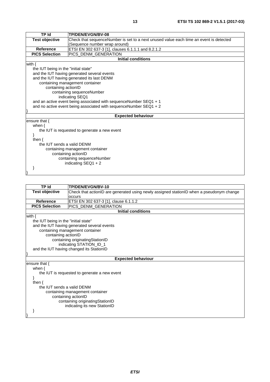| <b>TP Id</b>                         | TP/DEN/EVGN/BV-08                                                                      |  |
|--------------------------------------|----------------------------------------------------------------------------------------|--|
| <b>Test objective</b>                | Check that sequenceNumber is set to a next unused value each time an event is detected |  |
|                                      | (Sequence number wrap around)                                                          |  |
| <b>Reference</b>                     | ETSI EN 302 637-3 [1], clauses 6.1.1.1 and 8.2.1.2                                     |  |
| <b>PICS Selection</b>                | PICS_DENM_GENERATION                                                                   |  |
|                                      | <b>Initial conditions</b>                                                              |  |
| with $\{$                            |                                                                                        |  |
| the IUT being in the "initial state" |                                                                                        |  |
|                                      | and the IUT having generated several events                                            |  |
|                                      | and the IUT having generated its last DENM                                             |  |
|                                      | containing management container                                                        |  |
| containing actionID                  |                                                                                        |  |
|                                      | containing sequenceNumber                                                              |  |
|                                      | indicating SEQ1                                                                        |  |
|                                      | and an active event being associated with sequenceNumber SEQ1 + 1                      |  |
|                                      | and no active event being associated with sequence Number $SEQ1 + 2$                   |  |
|                                      |                                                                                        |  |
|                                      | <b>Expected behaviour</b>                                                              |  |
| ensure that {                        |                                                                                        |  |
| when $\{$                            |                                                                                        |  |
|                                      | the IUT is requested to generate a new event                                           |  |
|                                      |                                                                                        |  |
| then $\{$                            |                                                                                        |  |
| the IUT sends a valid DENM           |                                                                                        |  |
|                                      | containing management container                                                        |  |
|                                      | containing actionID                                                                    |  |
|                                      | containing sequenceNumber                                                              |  |
|                                      | indicating $SEQ1 + 2$                                                                  |  |
|                                      |                                                                                        |  |

| <b>TP Id</b>                                 | TP/DEN/EVGN/BV-10                                                                        |  |
|----------------------------------------------|------------------------------------------------------------------------------------------|--|
| <b>Test objective</b>                        | Check that actionID are generated using newly assigned stationID when a pseudonym change |  |
|                                              | occurs                                                                                   |  |
| <b>Reference</b>                             | ETSI EN 302 637-3 [1], clause 6.1.1.2                                                    |  |
| <b>PICS Selection</b>                        | PICS_DENM_GENERATION                                                                     |  |
|                                              | <b>Initial conditions</b>                                                                |  |
| with $\{$                                    |                                                                                          |  |
| the IUT being in the "initial state"         |                                                                                          |  |
|                                              | and the IUT having generated several events                                              |  |
|                                              | containing management container                                                          |  |
| containing actionID                          |                                                                                          |  |
|                                              | containing originatingStationID                                                          |  |
|                                              | indicating STATION_ID_1                                                                  |  |
|                                              | and the IUT having changed its StationID                                                 |  |
|                                              |                                                                                          |  |
|                                              | <b>Expected behaviour</b>                                                                |  |
| ensure that {<br>when $\{$                   |                                                                                          |  |
|                                              |                                                                                          |  |
| the IUT is requested to generate a new event |                                                                                          |  |
| then $\{$                                    |                                                                                          |  |
|                                              | the IUT sends a valid DENM                                                               |  |
| containing management container              |                                                                                          |  |
| containing actionID                          |                                                                                          |  |
| containing originatingStationID              |                                                                                          |  |
| indicating its new StationID                 |                                                                                          |  |
|                                              |                                                                                          |  |
|                                              |                                                                                          |  |
|                                              |                                                                                          |  |
|                                              |                                                                                          |  |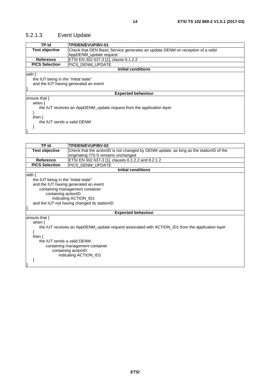# <span id="page-13-0"></span>5.2.1.3 Event Update

| TP Id                                | TP/DEN/EVUP/BV-01                                                             |  |  |
|--------------------------------------|-------------------------------------------------------------------------------|--|--|
| <b>Test objective</b>                | Check that DEN Basic Service generates an update DENM on reception of a valid |  |  |
|                                      | AppDENM update request                                                        |  |  |
| <b>Reference</b>                     | ETSI EN 302 637-3 [1], clause 6.1.2.2                                         |  |  |
| <b>PICS Selection</b>                | IPICS DENM UPDATE                                                             |  |  |
|                                      | <b>Initial conditions</b>                                                     |  |  |
| with {                               |                                                                               |  |  |
| the IUT being in the "initial state" |                                                                               |  |  |
|                                      | and the IUT having generated an event                                         |  |  |
|                                      |                                                                               |  |  |
|                                      | <b>Expected behaviour</b>                                                     |  |  |
| ensure that $\{$                     |                                                                               |  |  |
| when $\{$                            |                                                                               |  |  |
|                                      | the IUT receives an AppDENM_update request from the application layer         |  |  |
|                                      |                                                                               |  |  |
| then $\{$                            |                                                                               |  |  |
| the IUT sends a valid DENM           |                                                                               |  |  |
|                                      |                                                                               |  |  |
|                                      |                                                                               |  |  |

| TP Id                                | TP/DEN/EVUP/BV-02                                                                                |  |
|--------------------------------------|--------------------------------------------------------------------------------------------------|--|
| <b>Test objective</b>                | Check that the actionID is not changed by DENM update, as long as the stationID of the           |  |
|                                      | originating ITS-S remains unchanged                                                              |  |
| Reference                            | ETSI EN 302 637-3 [1], clauses 6.1.2.2 and 8.2.1.2                                               |  |
| <b>PICS Selection</b>                | PICS DENM_UPDATE                                                                                 |  |
|                                      | <b>Initial conditions</b>                                                                        |  |
| with $\{$                            |                                                                                                  |  |
| the IUT being in the "initial state" |                                                                                                  |  |
|                                      | and the IUT having generated an event                                                            |  |
|                                      | containing management container                                                                  |  |
| containing actionID                  |                                                                                                  |  |
| indicating ACTION_ID1                |                                                                                                  |  |
|                                      | and the IUT not having changed its stationID                                                     |  |
|                                      |                                                                                                  |  |
|                                      | <b>Expected behaviour</b>                                                                        |  |
| ensure that {                        |                                                                                                  |  |
| when $\{$                            |                                                                                                  |  |
|                                      | the IUT receives an AppDENM_update request associated with ACTION_ID1 from the application layer |  |
|                                      |                                                                                                  |  |
| then $\{$                            |                                                                                                  |  |
| the IUT sends a valid DENM           |                                                                                                  |  |
| containing management container      |                                                                                                  |  |
| containing actionID                  |                                                                                                  |  |
| indicating ACTION_ID1                |                                                                                                  |  |
|                                      |                                                                                                  |  |
|                                      |                                                                                                  |  |
|                                      |                                                                                                  |  |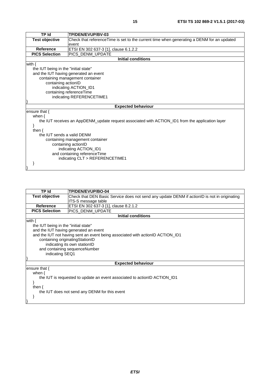| <b>TP Id</b>                         | TP/DEN/EVUP/BV-03                                                                                |  |
|--------------------------------------|--------------------------------------------------------------------------------------------------|--|
| <b>Test objective</b>                | Check that reference Time is set to the current time when generating a DENM for an updated       |  |
|                                      | event                                                                                            |  |
| <b>Reference</b>                     | ETSI EN 302 637-3 [1], clause 6.1.2.2                                                            |  |
| <b>PICS Selection</b>                | PICS DENM UPDATE                                                                                 |  |
|                                      | <b>Initial conditions</b>                                                                        |  |
| with $\{$                            |                                                                                                  |  |
| the IUT being in the "initial state" |                                                                                                  |  |
|                                      | and the IUT having generated an event                                                            |  |
|                                      | containing management container                                                                  |  |
|                                      | containing actionID                                                                              |  |
| indicating ACTION_ID1                |                                                                                                  |  |
| containing referenceTime             |                                                                                                  |  |
|                                      | indicating REFERENCETIME1                                                                        |  |
|                                      |                                                                                                  |  |
|                                      | <b>Expected behaviour</b>                                                                        |  |
| ensure that $\{$                     |                                                                                                  |  |
| when $\{$                            |                                                                                                  |  |
|                                      | the IUT receives an AppDENM_update request associated with ACTION_ID1 from the application layer |  |
|                                      |                                                                                                  |  |
| then $\{$                            |                                                                                                  |  |
| the IUT sends a valid DENM           |                                                                                                  |  |
| containing management container      |                                                                                                  |  |
| containing actionID                  |                                                                                                  |  |
| indicating ACTION_ID1                |                                                                                                  |  |
| and containing referenceTime         |                                                                                                  |  |
| indicating CLT > REFERENCETIME1      |                                                                                                  |  |
|                                      |                                                                                                  |  |
|                                      |                                                                                                  |  |

| TP Id                                | <b>TP/DEN/EVUP/BO-04</b>                                                                     |  |
|--------------------------------------|----------------------------------------------------------------------------------------------|--|
| <b>Test objective</b>                | Check that DEN Basic Service does not send any update DENM if actionID is not in originating |  |
|                                      | ITS-S message table                                                                          |  |
| Reference                            | ETSI EN 302 637-3 [1], clause 8.2.1.2                                                        |  |
| <b>PICS Selection</b>                | PICS DENM UPDATE                                                                             |  |
|                                      | <b>Initial conditions</b>                                                                    |  |
| with $\{$                            |                                                                                              |  |
| the IUT being in the "initial state" |                                                                                              |  |
|                                      | and the IUT having generated an event                                                        |  |
|                                      | and the IUT not having sent an event being associated with actionID ACTION_ID1               |  |
| containing originatingStationID      |                                                                                              |  |
|                                      |                                                                                              |  |
|                                      | indicating its own stationID                                                                 |  |
|                                      | and containing sequenceNumber                                                                |  |
| indicating SEQ1                      |                                                                                              |  |
|                                      |                                                                                              |  |
|                                      | <b>Expected behaviour</b>                                                                    |  |
| ensure that $\{$                     |                                                                                              |  |
| when $\{$                            |                                                                                              |  |
|                                      | the IUT is requested to update an event associated to actionID ACTION_ID1                    |  |
|                                      |                                                                                              |  |
| then $\{$                            |                                                                                              |  |
|                                      | the IUT does not send any DENM for this event                                                |  |
|                                      |                                                                                              |  |
|                                      |                                                                                              |  |
|                                      |                                                                                              |  |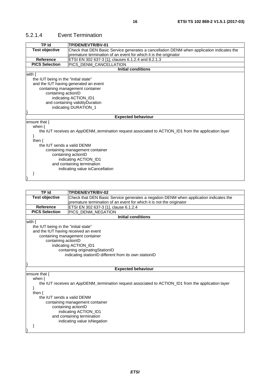### <span id="page-15-0"></span>5.2.1.4 Event Termination

| <b>TP Id</b>                                                                                        | <b>TP/DEN/EVTR/BV-01</b>                                                                  |  |
|-----------------------------------------------------------------------------------------------------|-------------------------------------------------------------------------------------------|--|
| <b>Test objective</b>                                                                               | Check that DEN Basic Service generates a cancellation DENM when application indicates the |  |
|                                                                                                     | premature termination of an event for which it is the originator                          |  |
| <b>Reference</b>                                                                                    | ETSI EN 302 637-3 [1], clauses 6.1.2.4 and 8.2.1.3                                        |  |
| <b>PICS Selection</b>                                                                               | PICS_DENM_CANCELLATION                                                                    |  |
|                                                                                                     | <b>Initial conditions</b>                                                                 |  |
| with $\{$                                                                                           |                                                                                           |  |
| the IUT being in the "initial state"                                                                |                                                                                           |  |
|                                                                                                     | and the IUT having generated an event                                                     |  |
|                                                                                                     | containing management container                                                           |  |
| containing actionID                                                                                 |                                                                                           |  |
| indicating ACTION_ID1                                                                               |                                                                                           |  |
|                                                                                                     | and containing validityDuration                                                           |  |
|                                                                                                     | indicating DURATION_1                                                                     |  |
|                                                                                                     |                                                                                           |  |
|                                                                                                     | <b>Expected behaviour</b>                                                                 |  |
| ensure that {<br>when $\{$                                                                          |                                                                                           |  |
|                                                                                                     |                                                                                           |  |
| the IUT receives an AppDENM_termination request associated to ACTION_ID1 from the application layer |                                                                                           |  |
| then $\{$                                                                                           |                                                                                           |  |
| the IUT sends a valid DENM                                                                          |                                                                                           |  |
| containing management container                                                                     |                                                                                           |  |
| containing actionID                                                                                 |                                                                                           |  |
| indicating ACTION_ID1                                                                               |                                                                                           |  |
|                                                                                                     | and containing termination                                                                |  |
|                                                                                                     | indicating value is Cancellation                                                          |  |
|                                                                                                     |                                                                                           |  |
|                                                                                                     |                                                                                           |  |

|                                                                                                     | TP/DEN/EVTR/BV-02                                                                     |  |
|-----------------------------------------------------------------------------------------------------|---------------------------------------------------------------------------------------|--|
| <b>Test objective</b>                                                                               | Check that DEN Basic Service generates a negation DENM when application indicates the |  |
|                                                                                                     | premature termination of an event for which it is not the originator                  |  |
| <b>Reference</b>                                                                                    | ETSI EN 302 637-3 [1], clause 6.1.2.4                                                 |  |
| <b>PICS Selection</b>                                                                               | PICS_DENM_NEGATION                                                                    |  |
|                                                                                                     | <b>Initial conditions</b>                                                             |  |
| with $\{$                                                                                           |                                                                                       |  |
| the IUT being in the "initial state"                                                                |                                                                                       |  |
| and the IUT having received an event                                                                |                                                                                       |  |
| containing management container                                                                     |                                                                                       |  |
| containing actionID                                                                                 |                                                                                       |  |
|                                                                                                     | indicating ACTION ID1                                                                 |  |
|                                                                                                     | containing originatingStationID                                                       |  |
| indicating stationID different from its own stationID                                               |                                                                                       |  |
|                                                                                                     |                                                                                       |  |
|                                                                                                     |                                                                                       |  |
|                                                                                                     | <b>Expected behaviour</b>                                                             |  |
| ensure that $\{$                                                                                    |                                                                                       |  |
| when $\{$                                                                                           |                                                                                       |  |
| the IUT receives an AppDENM_termination request associated to ACTION_ID1 from the application layer |                                                                                       |  |
| ł                                                                                                   |                                                                                       |  |
| then $\{$                                                                                           |                                                                                       |  |
| the IUT sends a valid DENM                                                                          |                                                                                       |  |
| containing management container                                                                     |                                                                                       |  |
| containing actionID                                                                                 |                                                                                       |  |
| indicating ACTION_ID1                                                                               |                                                                                       |  |
|                                                                                                     | and containing termination                                                            |  |
|                                                                                                     | indicating value isNegation                                                           |  |
|                                                                                                     |                                                                                       |  |
|                                                                                                     |                                                                                       |  |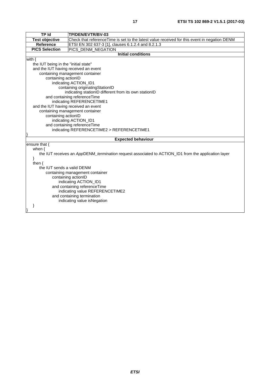| <b>TP Id</b>                         | TP/DEN/EVTR/BV-03                                                                                   |  |
|--------------------------------------|-----------------------------------------------------------------------------------------------------|--|
| <b>Test objective</b>                | Check that referenceTime is set to the latest value received for this event in negation DENM        |  |
| Reference                            | ETSI EN 302 637-3 [1], clauses 6.1.2.4 and 8.2.1.3                                                  |  |
| <b>PICS Selection</b>                | PICS DENM NEGATION                                                                                  |  |
|                                      | <b>Initial conditions</b>                                                                           |  |
| with $\{$                            |                                                                                                     |  |
| the IUT being in the "initial state" |                                                                                                     |  |
| and the IUT having received an event |                                                                                                     |  |
|                                      | containing management container                                                                     |  |
| containing actionID                  |                                                                                                     |  |
|                                      | indicating ACTION_ID1                                                                               |  |
|                                      | containing originatingStationID                                                                     |  |
|                                      | indicating stationID different from its own stationID                                               |  |
|                                      | and containing referenceTime                                                                        |  |
|                                      | indicating REFERENCETIME1                                                                           |  |
| and the IUT having received an event |                                                                                                     |  |
|                                      | containing management container                                                                     |  |
| containing actionID                  |                                                                                                     |  |
|                                      | indicating ACTION_ID1                                                                               |  |
|                                      | and containing referenceTime                                                                        |  |
|                                      | indicating REFERENCETIME2 > REFERENCETIME1                                                          |  |
|                                      | <b>Expected behaviour</b>                                                                           |  |
| ensure that {                        |                                                                                                     |  |
| when $\{$                            |                                                                                                     |  |
|                                      | the IUT receives an AppDENM_termination request associated to ACTION_ID1 from the application layer |  |
| }                                    |                                                                                                     |  |
| then $\{$                            |                                                                                                     |  |
|                                      | the IUT sends a valid DENM                                                                          |  |
| containing management container      |                                                                                                     |  |
| containing actionID                  |                                                                                                     |  |
| indicating ACTION_ID1                |                                                                                                     |  |
| and containing referenceTime         |                                                                                                     |  |
| indicating value REFERENCETIME2      |                                                                                                     |  |
|                                      | and containing termination                                                                          |  |
|                                      | indicating value isNegation                                                                         |  |
|                                      |                                                                                                     |  |
|                                      |                                                                                                     |  |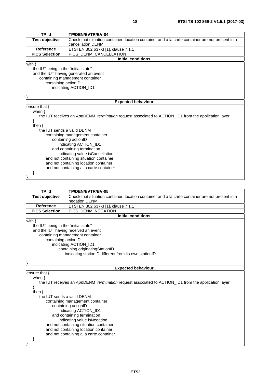| <b>TP Id</b>                                                                    | TP/DEN/EVTR/BV-04                                                                                   |  |
|---------------------------------------------------------------------------------|-----------------------------------------------------------------------------------------------------|--|
| <b>Test objective</b>                                                           | Check that situation container, location container and a la carte container are not present in a    |  |
|                                                                                 | cancellation DENM                                                                                   |  |
| Reference                                                                       | ETSI EN 302 637-3 [1], clause 7.1.1                                                                 |  |
| <b>PICS Selection</b>                                                           | PICS_DENM_CANCELLATION                                                                              |  |
|                                                                                 | <b>Initial conditions</b>                                                                           |  |
| with {                                                                          |                                                                                                     |  |
| the IUT being in the "initial state"                                            |                                                                                                     |  |
|                                                                                 | and the IUT having generated an event                                                               |  |
|                                                                                 | containing management container                                                                     |  |
| containing actionID                                                             |                                                                                                     |  |
|                                                                                 | indicating ACTION_ID1                                                                               |  |
|                                                                                 |                                                                                                     |  |
|                                                                                 |                                                                                                     |  |
|                                                                                 | <b>Expected behaviour</b>                                                                           |  |
| ensure that {                                                                   |                                                                                                     |  |
| when $\{$                                                                       |                                                                                                     |  |
|                                                                                 | the IUT receives an AppDENM_termination request associated to ACTION_ID1 from the application layer |  |
|                                                                                 |                                                                                                     |  |
| then $\{$<br>the IUT sends a valid DENM                                         |                                                                                                     |  |
|                                                                                 |                                                                                                     |  |
|                                                                                 | containing management container                                                                     |  |
| containing actionID                                                             |                                                                                                     |  |
| indicating ACTION_ID1                                                           |                                                                                                     |  |
| and containing termination<br>indicating value is Cancellation                  |                                                                                                     |  |
|                                                                                 |                                                                                                     |  |
| and not containing situation container<br>and not containing location container |                                                                                                     |  |
|                                                                                 | and not containing a la carte container                                                             |  |
|                                                                                 |                                                                                                     |  |

**TP Id TP/DEN/EVTR/BV-05 Test objective** Check that situation container, location container and a la carte container are not present in a negation DENM Reference ETSI EN 302 637-3 [\[1](#page-4-0)], clause 7.1.1<br>**PICS Selection** PICS\_DENM\_NEGATION **PICS Selection** PICS\_DENM\_NEGATION **Initial conditions** with { the IUT being in the "initial state" and the IUT having received an event containing management container containing actionID indicating ACTION\_ID1 containing originatingStationID indicating stationID different from its own stationID } **Expected behaviour** ensure that { when { the IUT receives an *App*DENM*\_termination* request associated to ACTION\_ID1 from the application layer } then { the IUT sends a valid DENM containing management container containing actionID indicating ACTION\_ID1 and containing termination indicating value isNegation and not containing situation container and not containing location container and not containing a la carte container

}

}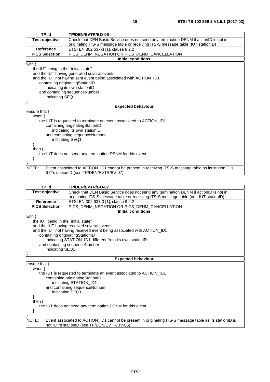| <b>TP Id</b>                                              | TP/DEN/EVTR/BO-06                                                                                     |  |
|-----------------------------------------------------------|-------------------------------------------------------------------------------------------------------|--|
| <b>Test objective</b>                                     | Check that DEN Basic Service does not send any termination DENM if actionID is not in                 |  |
|                                                           | originating ITS-S message table or receiving ITS-S message table (IUT stationID)                      |  |
| <b>Reference</b>                                          | ETSI EN 302 637-3 [1], clause 8.2.2                                                                   |  |
| <b>PICS Selection</b>                                     | PICS_DENM_NEGATION OR PICS_DENM_CANCELLATION                                                          |  |
|                                                           | <b>Initial conditions</b>                                                                             |  |
| with $\{$                                                 |                                                                                                       |  |
| the IUT being in the "initial state"                      |                                                                                                       |  |
|                                                           | and the IUT having generated several events                                                           |  |
|                                                           | and the IUT not having sent event being associated with ACTION_ID1                                    |  |
| containing originatingStationID                           |                                                                                                       |  |
|                                                           | indicating its own stationID                                                                          |  |
|                                                           | and containing sequenceNumber                                                                         |  |
|                                                           | indicating SEQ1                                                                                       |  |
|                                                           |                                                                                                       |  |
| <b>Expected behaviour</b>                                 |                                                                                                       |  |
| ensure that $\{$                                          |                                                                                                       |  |
| when $\{$                                                 |                                                                                                       |  |
|                                                           | the IUT is requested to terminate an event associated to ACTION ID1                                   |  |
|                                                           | containing originatingStationID                                                                       |  |
|                                                           | indicating its own stationID                                                                          |  |
|                                                           | and containing sequenceNumber<br>indicating SEQ1                                                      |  |
|                                                           |                                                                                                       |  |
|                                                           |                                                                                                       |  |
| then $\{$                                                 |                                                                                                       |  |
| the IUT does not send any termination DENM for this event |                                                                                                       |  |
|                                                           |                                                                                                       |  |
| NOTE:                                                     | Event associated to ACTION_ID1 cannot be present in receiving ITS-S message table as its stationID is |  |
|                                                           | IUT's stationID (see TP/DEN/EVTR/BV-07).                                                              |  |

| TP Id                                | TP/DEN/EVTR/BO-07                                                                                       |  |
|--------------------------------------|---------------------------------------------------------------------------------------------------------|--|
| <b>Test objective</b>                | Check that DEN Basic Service does not send any termination DENM if actionID is not in                   |  |
|                                      | originating ITS-S message table or receiving ITS-S message table (non-IUT stationID)                    |  |
| Reference                            | ETSI EN 302 637-3 [1], clause 8.2.2                                                                     |  |
| <b>PICS Selection</b>                | PICS_DENM_NEGATION OR PICS_DENM_CANCELLATION                                                            |  |
|                                      | <b>Initial conditions</b>                                                                               |  |
| with $\{$                            |                                                                                                         |  |
| the IUT being in the "initial state" |                                                                                                         |  |
|                                      | and the IUT having received several events                                                              |  |
|                                      | and the IUT not having received event being associated with ACTION_ID1                                  |  |
| containing originatingStationID      |                                                                                                         |  |
|                                      | indicating STATION_ID1 different from its own stationID                                                 |  |
|                                      | and containing sequenceNumber                                                                           |  |
| indicating SEQ1                      |                                                                                                         |  |
|                                      |                                                                                                         |  |
|                                      | <b>Expected behaviour</b>                                                                               |  |
| ensure that $\{$                     |                                                                                                         |  |
| when $\{$                            |                                                                                                         |  |
|                                      | the IUT is requested to terminate an event associated to ACTION_ID1                                     |  |
|                                      | containing originating Station ID                                                                       |  |
|                                      | indicating STATION_ID1                                                                                  |  |
|                                      | and containing sequenceNumber                                                                           |  |
| indicating SEQ1                      |                                                                                                         |  |
|                                      |                                                                                                         |  |
| then $\{$                            |                                                                                                         |  |
|                                      | the IUT does not send any termination DENM for this event                                               |  |
| }                                    |                                                                                                         |  |
| NOTE:                                | Event associated to ACTION_ID1 cannot be present in originating ITS-S message table as its stationID is |  |
|                                      | not IUT's stationID (see TP/DEN/EVTR/BV-06).                                                            |  |
|                                      |                                                                                                         |  |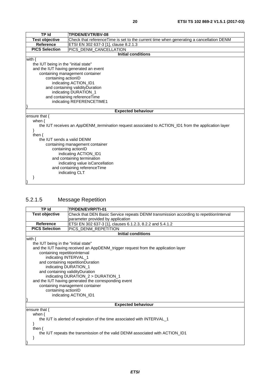<span id="page-19-0"></span>

| <b>TP Id</b>                         | TP/DEN/EVTR/BV-08                                                                                          |  |
|--------------------------------------|------------------------------------------------------------------------------------------------------------|--|
| <b>Test objective</b>                | Check that referenceTime is set to the current time when generating a cancellation DENM                    |  |
| <b>Reference</b>                     | ETSI EN 302 637-3 [1], clause 8.2.1.3                                                                      |  |
| <b>PICS Selection</b>                | PICS_DENM_CANCELLATION                                                                                     |  |
|                                      | <b>Initial conditions</b>                                                                                  |  |
| with $\{$                            |                                                                                                            |  |
| the IUT being in the "initial state" |                                                                                                            |  |
|                                      | and the IUT having generated an event                                                                      |  |
|                                      | containing management container                                                                            |  |
| containing actionID                  |                                                                                                            |  |
|                                      | indicating ACTION_ID1                                                                                      |  |
|                                      | and containing validity Duration                                                                           |  |
|                                      | indicating DURATION_1                                                                                      |  |
|                                      | and containing referenceTime                                                                               |  |
| indicating REFERENCETIME1            |                                                                                                            |  |
|                                      |                                                                                                            |  |
|                                      | <b>Expected behaviour</b>                                                                                  |  |
| ensure that {                        |                                                                                                            |  |
| when $\{$                            |                                                                                                            |  |
|                                      | the IUT receives an AppDENM <i>termination</i> request associated to ACTION ID1 from the application layer |  |
|                                      |                                                                                                            |  |
| then $\{$                            |                                                                                                            |  |
| the IUT sends a valid DENM           |                                                                                                            |  |
|                                      | containing management container                                                                            |  |
| containing actionID                  |                                                                                                            |  |
| indicating ACTION_ID1                |                                                                                                            |  |
| and containing termination           |                                                                                                            |  |
| indicating value isCancellation      |                                                                                                            |  |
| and containing referenceTime         |                                                                                                            |  |
|                                      | indicating CLT                                                                                             |  |
|                                      |                                                                                                            |  |
|                                      |                                                                                                            |  |

# 5.2.1.5 Message Repetition

| <b>TP Id</b>                                                                  | TP/DEN/EVRP/TI-01                                                                      |  |
|-------------------------------------------------------------------------------|----------------------------------------------------------------------------------------|--|
| <b>Test objective</b>                                                         | Check that DEN Basic Service repeats DENM transmission according to repetitionInterval |  |
|                                                                               | parameter provided by application                                                      |  |
| <b>Reference</b>                                                              | ETSI EN 302 637-3 [1], clauses 6.1.2.3, 8.2.2 and 5.4.1.2                              |  |
| <b>PICS Selection</b>                                                         | PICS_DENM_REPETITION                                                                   |  |
|                                                                               | <b>Initial conditions</b>                                                              |  |
| with $\{$                                                                     |                                                                                        |  |
| the IUT being in the "initial state"                                          |                                                                                        |  |
|                                                                               | and the IUT having received an AppDENM_trigger request from the application layer      |  |
| containing repetitionInterval                                                 |                                                                                        |  |
| indicating INTERVAL_1                                                         |                                                                                        |  |
|                                                                               | and containing repetitionDuration                                                      |  |
| indicating DURATION_1                                                         |                                                                                        |  |
| and containing validityDuration                                               |                                                                                        |  |
|                                                                               | indicating DURATION_2 > DURATION_1                                                     |  |
| and the IUT having generated the corresponding event                          |                                                                                        |  |
|                                                                               | containing management container                                                        |  |
|                                                                               | containing actionID<br>indicating ACTION_ID1                                           |  |
|                                                                               |                                                                                        |  |
|                                                                               | <b>Expected behaviour</b>                                                              |  |
| ensure that {                                                                 |                                                                                        |  |
| when $\{$                                                                     |                                                                                        |  |
| the IUT is alerted of expiration of the time associated with INTERVAL_1       |                                                                                        |  |
|                                                                               |                                                                                        |  |
| then $\{$                                                                     |                                                                                        |  |
| the IUT repeats the transmission of the valid DENM associated with ACTION_ID1 |                                                                                        |  |
|                                                                               |                                                                                        |  |
|                                                                               |                                                                                        |  |
|                                                                               |                                                                                        |  |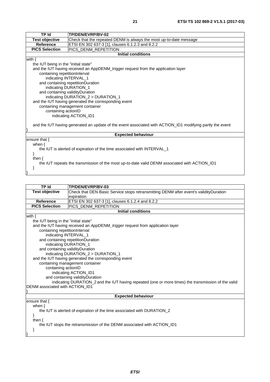| <b>TP Id</b>                                                                                  | TP/DEN/EVRP/BV-02                                                                                         |  |
|-----------------------------------------------------------------------------------------------|-----------------------------------------------------------------------------------------------------------|--|
| <b>Test objective</b>                                                                         | Check that the repeated DENM is always the most up-to-date message                                        |  |
| <b>Reference</b>                                                                              | ETSI EN 302 637-3 [1], clauses 6.1.2.3 and 8.2.2                                                          |  |
| <b>PICS Selection</b>                                                                         | PICS DENM_REPETITION                                                                                      |  |
|                                                                                               | <b>Initial conditions</b>                                                                                 |  |
| with $\{$                                                                                     |                                                                                                           |  |
| the IUT being in the "initial state"                                                          |                                                                                                           |  |
|                                                                                               | and the IUT having received an AppDENM_trigger request from the application layer                         |  |
| containing repetitionInterval                                                                 |                                                                                                           |  |
|                                                                                               | indicating INTERVAL_1                                                                                     |  |
|                                                                                               | and containing repetitionDuration                                                                         |  |
|                                                                                               | indicating DURATION_1                                                                                     |  |
|                                                                                               | and containing validity Duration                                                                          |  |
|                                                                                               | indicating DURATION_2 > DURATION_1                                                                        |  |
| and the IUT having generated the corresponding event                                          |                                                                                                           |  |
| containing management container                                                               |                                                                                                           |  |
|                                                                                               | containing actionID                                                                                       |  |
|                                                                                               | indicating ACTION_ID1                                                                                     |  |
|                                                                                               |                                                                                                           |  |
|                                                                                               | and the IUT having generated an update of the event associated with ACTION_ID1 modifying partly the event |  |
|                                                                                               |                                                                                                           |  |
|                                                                                               | <b>Expected behaviour</b>                                                                                 |  |
| ensure that $\{$                                                                              |                                                                                                           |  |
| when $\{$                                                                                     |                                                                                                           |  |
| the IUT is alerted of expiration of the time associated with INTERVAL_1                       |                                                                                                           |  |
|                                                                                               |                                                                                                           |  |
| then $\{$                                                                                     |                                                                                                           |  |
| the IUT repeats the transmission of the most up-to-date valid DENM associated with ACTION ID1 |                                                                                                           |  |

epeats the transmission of the most up-to-date valid DENM associated

}

 $\mathbf{R}$ 

| TP Id                                                                                               | TP/DEN/EVRP/BV-03                                                                     |  |
|-----------------------------------------------------------------------------------------------------|---------------------------------------------------------------------------------------|--|
| <b>Test objective</b>                                                                               |                                                                                       |  |
|                                                                                                     | Check that DEN Basic Service stops retransmitting DENM after event's validityDuration |  |
| Reference                                                                                           | expiration                                                                            |  |
|                                                                                                     | ETSI EN 302 637-3 [1], clauses 6.1.2.4 and 8.2.2                                      |  |
| <b>PICS Selection</b>                                                                               | PICS_DENM_REPETITION                                                                  |  |
|                                                                                                     | <b>Initial conditions</b>                                                             |  |
| with $\{$                                                                                           |                                                                                       |  |
| the IUT being in the "initial state"                                                                |                                                                                       |  |
|                                                                                                     | and the IUT having received an AppDENM_trigger request from application layer         |  |
| containing repetitionInterval                                                                       |                                                                                       |  |
| indicating INTERVAL_1                                                                               |                                                                                       |  |
|                                                                                                     | and containing repetitionDuration                                                     |  |
| indicating DURATION_1                                                                               |                                                                                       |  |
| and containing validity Duration                                                                    |                                                                                       |  |
| indicating DURATION_2 > DURATION_1                                                                  |                                                                                       |  |
|                                                                                                     | and the IUT having generated the corresponding event                                  |  |
|                                                                                                     | containing management container                                                       |  |
| containing actionID                                                                                 |                                                                                       |  |
| indicating ACTION_ID1                                                                               |                                                                                       |  |
|                                                                                                     | and containing validity Duration                                                      |  |
| indicating DURATION_2 and the IUT having repeated (one or more times) the transmission of the valid |                                                                                       |  |
| DENM associated with ACTION_ID1                                                                     |                                                                                       |  |
|                                                                                                     |                                                                                       |  |
|                                                                                                     | <b>Expected behaviour</b>                                                             |  |
| ensure that {                                                                                       |                                                                                       |  |
| when $\{$                                                                                           |                                                                                       |  |
| the IUT is alerted of expiration of the time associated with DURATION_2                             |                                                                                       |  |
|                                                                                                     |                                                                                       |  |
| then $\{$                                                                                           |                                                                                       |  |
| the IUT stops the retransmission of the DENM associated with ACTION_ID1                             |                                                                                       |  |
| <sup>}</sup>                                                                                        |                                                                                       |  |
|                                                                                                     |                                                                                       |  |
|                                                                                                     |                                                                                       |  |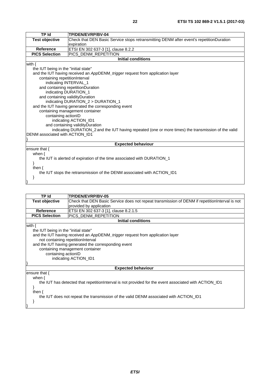| TP Id                                                                                                                                  | TP/DEN/EVRP/BV-04                                                                       |  |
|----------------------------------------------------------------------------------------------------------------------------------------|-----------------------------------------------------------------------------------------|--|
| <b>Test objective</b>                                                                                                                  | Check that DEN Basic Service stops retransmitting DENM after event's repetitionDuration |  |
|                                                                                                                                        | expiration                                                                              |  |
| Reference                                                                                                                              | ETSI EN 302 637-3 [1], clause 8.2.2                                                     |  |
| <b>PICS Selection</b>                                                                                                                  | PICS_DENM_REPETITION                                                                    |  |
|                                                                                                                                        | <b>Initial conditions</b>                                                               |  |
| with $\{$                                                                                                                              |                                                                                         |  |
| the IUT being in the "initial state"                                                                                                   |                                                                                         |  |
|                                                                                                                                        | and the IUT having received an AppDENM_trigger request from application layer           |  |
| containing repetitionInterval                                                                                                          |                                                                                         |  |
| indicating INTERVAL_1                                                                                                                  |                                                                                         |  |
|                                                                                                                                        | and containing repetitionDuration                                                       |  |
|                                                                                                                                        | indicating DURATION_1                                                                   |  |
|                                                                                                                                        | and containing validityDuration                                                         |  |
|                                                                                                                                        | indicating DURATION_2 > DURATION_1                                                      |  |
|                                                                                                                                        | and the IUT having generated the corresponding event                                    |  |
| containing management container                                                                                                        |                                                                                         |  |
| containing actionID                                                                                                                    |                                                                                         |  |
| indicating ACTION_ID1                                                                                                                  |                                                                                         |  |
| and containing validity Duration                                                                                                       |                                                                                         |  |
| indicating DURATION_2 and the IUT having repeated (one or more times) the transmission of the valid<br>DENM associated with ACTION_ID1 |                                                                                         |  |
|                                                                                                                                        |                                                                                         |  |
| <b>Expected behaviour</b>                                                                                                              |                                                                                         |  |
| ensure that {                                                                                                                          |                                                                                         |  |
| when $\{$                                                                                                                              |                                                                                         |  |
| the IUT is alerted of expiration of the time associated with DURATION_1                                                                |                                                                                         |  |
|                                                                                                                                        |                                                                                         |  |
| then $\{$                                                                                                                              |                                                                                         |  |
| the IUT stops the retransmission of the DENM associated with ACTION ID1                                                                |                                                                                         |  |
|                                                                                                                                        |                                                                                         |  |
|                                                                                                                                        |                                                                                         |  |

| <b>TP Id</b>                                                                                           | TP/DEN/EVRP/BV-05                                                                               |  |
|--------------------------------------------------------------------------------------------------------|-------------------------------------------------------------------------------------------------|--|
| <b>Test objective</b>                                                                                  | Check that DEN Basic Service does not repeat transmission of DENM if repetition Interval is not |  |
|                                                                                                        | provided by application                                                                         |  |
| <b>Reference</b>                                                                                       | ETSI EN 302 637-3 [1], clause 8.2.1.5                                                           |  |
| <b>PICS Selection</b>                                                                                  | PICS_DENM_REPETITION                                                                            |  |
|                                                                                                        | <b>Initial conditions</b>                                                                       |  |
| with $\{$                                                                                              |                                                                                                 |  |
| the IUT being in the "initial state"                                                                   |                                                                                                 |  |
|                                                                                                        | and the IUT having received an AppDENM_trigger request from application layer                   |  |
|                                                                                                        | not containing repetitionInterval                                                               |  |
|                                                                                                        | and the IUT having generated the corresponding event                                            |  |
|                                                                                                        | containing management container                                                                 |  |
| containing actionID                                                                                    |                                                                                                 |  |
| indicating ACTION_ID1                                                                                  |                                                                                                 |  |
|                                                                                                        |                                                                                                 |  |
| <b>Expected behaviour</b>                                                                              |                                                                                                 |  |
| ensure that $\{$                                                                                       |                                                                                                 |  |
| when $\{$                                                                                              |                                                                                                 |  |
| the IUT has detected that repetition interval is not provided for the event associated with ACTION ID1 |                                                                                                 |  |
|                                                                                                        |                                                                                                 |  |
| then $\{$                                                                                              |                                                                                                 |  |
| the IUT does not repeat the transmission of the valid DENM associated with ACTION ID1                  |                                                                                                 |  |
|                                                                                                        |                                                                                                 |  |
|                                                                                                        |                                                                                                 |  |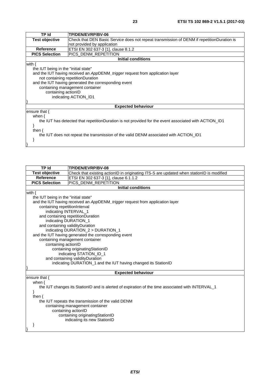| TP Id<br>TP/DEN/EVRP/BV-06                                                                                          |  |  |
|---------------------------------------------------------------------------------------------------------------------|--|--|
| <b>Test objective</b><br>Check that DEN Basic Service does not repeat transmission of DENM if repetitionDuration is |  |  |
| not provided by application                                                                                         |  |  |
| ETSI EN 302 637-3 [1], clause 8.1.2<br><b>Reference</b>                                                             |  |  |
| PICS DENM REPETITION<br><b>PICS Selection</b>                                                                       |  |  |
| Initial conditions                                                                                                  |  |  |
| with $\{$                                                                                                           |  |  |
| the IUT being in the "initial state"                                                                                |  |  |
| and the IUT having received an AppDENM_trigger request from application layer                                       |  |  |
| not containing repetitionDuration                                                                                   |  |  |
| and the IUT having generated the corresponding event                                                                |  |  |
| containing management container                                                                                     |  |  |
| containing actionID                                                                                                 |  |  |
| indicating ACTION ID1                                                                                               |  |  |
|                                                                                                                     |  |  |
| <b>Expected behaviour</b>                                                                                           |  |  |
| ensure that $\{$                                                                                                    |  |  |
| when $\{$                                                                                                           |  |  |
| the IUT has detected that repetitionDuration is not provided for the event associated with ACTION ID1               |  |  |
|                                                                                                                     |  |  |
| then $\{$                                                                                                           |  |  |
| the IUT does not repeat the transmission of the valid DENM associated with ACTION ID1                               |  |  |
|                                                                                                                     |  |  |

| TP Id                                                          | TP/DEN/EVRP/BV-08                                                                                 |  |
|----------------------------------------------------------------|---------------------------------------------------------------------------------------------------|--|
| <b>Test objective</b>                                          | Check that existing actionID in originating ITS-S are updated when stationID is modified          |  |
| Reference                                                      | ETSI EN 302 637-3 [1], clause 6.1.1.2                                                             |  |
| <b>PICS Selection</b>                                          | PICS_DENM_REPETITION                                                                              |  |
|                                                                | <b>Initial conditions</b>                                                                         |  |
| with $\{$                                                      |                                                                                                   |  |
| the IUT being in the "initial state"                           |                                                                                                   |  |
|                                                                | and the IUT having received an AppDENM_trigger request from application layer                     |  |
| containing repetitionInterval                                  |                                                                                                   |  |
|                                                                | indicating INTERVAL_1                                                                             |  |
|                                                                | and containing repetitionDuration                                                                 |  |
|                                                                | indicating DURATION_1                                                                             |  |
|                                                                | and containing validity Duration                                                                  |  |
|                                                                | indicating DURATION_2 > DURATION_1                                                                |  |
|                                                                | and the IUT having generated the corresponding event                                              |  |
|                                                                | containing management container                                                                   |  |
| containing actionID                                            |                                                                                                   |  |
|                                                                | containing originatingStationID                                                                   |  |
|                                                                | indicating STATION_ID_1                                                                           |  |
|                                                                | and containing validityDuration                                                                   |  |
| indicating DURATION_1 and the IUT having changed its StationID |                                                                                                   |  |
|                                                                |                                                                                                   |  |
| <b>Expected behaviour</b>                                      |                                                                                                   |  |
| ensure that {                                                  |                                                                                                   |  |
| when $\{$                                                      |                                                                                                   |  |
|                                                                | the IUT changes its StationID and is alerted of expiration of the time associated with INTERVAL_1 |  |
|                                                                |                                                                                                   |  |
| then $\{$                                                      |                                                                                                   |  |
| the IUT repeats the transmission of the valid DENM             |                                                                                                   |  |
| containing management container                                |                                                                                                   |  |
| containing actionID                                            |                                                                                                   |  |
| containing originatingStationID                                |                                                                                                   |  |
|                                                                | indicating its new StationID                                                                      |  |
|                                                                |                                                                                                   |  |
|                                                                |                                                                                                   |  |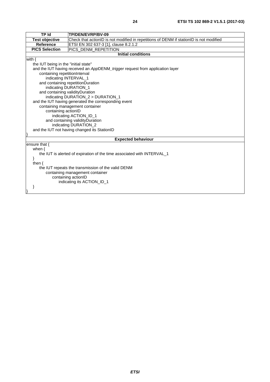| <b>TP Id</b>                                                            | TP/DEN/EVRP/BV-09                                                                       |  |
|-------------------------------------------------------------------------|-----------------------------------------------------------------------------------------|--|
| <b>Test objective</b>                                                   | Check that actionID is not modified in repetitions of DENM if stationID is not modified |  |
| Reference                                                               | ETSI EN 302 637-3 [1], clause 8.2.1.2                                                   |  |
| <b>PICS Selection</b>                                                   | PICS_DENM_REPETITION                                                                    |  |
|                                                                         | <b>Initial conditions</b>                                                               |  |
| with $\{$                                                               |                                                                                         |  |
| the IUT being in the "initial state"                                    |                                                                                         |  |
|                                                                         | and the IUT having received an AppDENM_trigger request from application layer           |  |
| containing repetitionInterval                                           |                                                                                         |  |
| indicating INTERVAL_1                                                   |                                                                                         |  |
|                                                                         | and containing repetitionDuration                                                       |  |
|                                                                         | indicating DURATION_1                                                                   |  |
| and containing validity Duration                                        |                                                                                         |  |
|                                                                         | indicating DURATION_2 > DURATION_1                                                      |  |
| and the IUT having generated the corresponding event                    |                                                                                         |  |
|                                                                         | containing management container                                                         |  |
| containing actionID                                                     |                                                                                         |  |
| indicating ACTION_ID_1                                                  |                                                                                         |  |
| and containing validityDuration                                         |                                                                                         |  |
| indicating DURATION_2                                                   |                                                                                         |  |
| and the IUT not having changed its StationID                            |                                                                                         |  |
|                                                                         |                                                                                         |  |
| <b>Expected behaviour</b>                                               |                                                                                         |  |
| ensure that {                                                           |                                                                                         |  |
| when $\{$                                                               |                                                                                         |  |
| the IUT is alerted of expiration of the time associated with INTERVAL_1 |                                                                                         |  |
|                                                                         |                                                                                         |  |
| then $\{$                                                               |                                                                                         |  |
| the IUT repeats the transmission of the valid DENM                      |                                                                                         |  |
| containing management container                                         |                                                                                         |  |
| containing actionID                                                     |                                                                                         |  |
| indicating its ACTION_ID_1                                              |                                                                                         |  |
|                                                                         |                                                                                         |  |
|                                                                         |                                                                                         |  |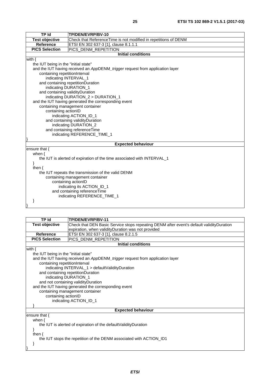| <b>TP Id</b>                                                                 | TP/DEN/EVRP/BV-10                                                             |  |
|------------------------------------------------------------------------------|-------------------------------------------------------------------------------|--|
| <b>Test objective</b>                                                        | Check that ReferenceTime is not modified in repetitions of DENM               |  |
| <b>Reference</b>                                                             | ETSI EN 302 637-3 [1], clause 8.1.1.1                                         |  |
| <b>PICS Selection</b>                                                        | PICS_DENM_REPETITION                                                          |  |
|                                                                              | <b>Initial conditions</b>                                                     |  |
| with $\{$                                                                    |                                                                               |  |
| the IUT being in the "initial state"                                         |                                                                               |  |
|                                                                              | and the IUT having received an AppDENM_trigger request from application layer |  |
| containing repetitionInterval                                                |                                                                               |  |
|                                                                              | indicating INTERVAL_1                                                         |  |
|                                                                              | and containing repetitionDuration                                             |  |
|                                                                              | indicating DURATION_1                                                         |  |
|                                                                              | and containing validity Duration                                              |  |
|                                                                              | indicating DURATION 2 > DURATION 1                                            |  |
|                                                                              | and the IUT having generated the corresponding event                          |  |
|                                                                              | containing management container                                               |  |
|                                                                              | containing actionID                                                           |  |
|                                                                              | indicating ACTION_ID_1                                                        |  |
|                                                                              | and containing validity Duration                                              |  |
| indicating DURATION_2                                                        |                                                                               |  |
|                                                                              | and containing referenceTime                                                  |  |
| indicating REFERENCE_TIME_1                                                  |                                                                               |  |
|                                                                              | <b>Expected behaviour</b>                                                     |  |
| ensure that {                                                                |                                                                               |  |
| when $\{$                                                                    |                                                                               |  |
|                                                                              |                                                                               |  |
| the IUT is alerted of expiration of the time associated with INTERVAL_1<br>} |                                                                               |  |
| then $\{$                                                                    |                                                                               |  |
| the IUT repeats the transmission of the valid DENM                           |                                                                               |  |
| containing management container                                              |                                                                               |  |
| containing actionID                                                          |                                                                               |  |
| indicating its ACTION_ID_1                                                   |                                                                               |  |
| and containing referenceTime                                                 |                                                                               |  |
| indicating REFERENCE_TIME_1                                                  |                                                                               |  |
|                                                                              |                                                                               |  |
|                                                                              |                                                                               |  |

| <b>TP Id</b>                         | TP/DEN/EVRP/BV-11                                                                        |  |  |  |  |  |
|--------------------------------------|------------------------------------------------------------------------------------------|--|--|--|--|--|
| <b>Test objective</b>                | Check that DEN Basic Service stops repeating DENM after event's default validityDuration |  |  |  |  |  |
|                                      | expiration, when validityDuration was not provided                                       |  |  |  |  |  |
| Reference                            | ETSI EN 302 637-3 [1], clause 8.2.1.5                                                    |  |  |  |  |  |
| <b>PICS Selection</b>                | PICS_DENM_REPETITION                                                                     |  |  |  |  |  |
|                                      | <b>Initial conditions</b>                                                                |  |  |  |  |  |
| with $\{$                            |                                                                                          |  |  |  |  |  |
| the IUT being in the "initial state" |                                                                                          |  |  |  |  |  |
|                                      | and the IUT having received an AppDENM_trigger request from application layer            |  |  |  |  |  |
| containing repetitionInterval        |                                                                                          |  |  |  |  |  |
|                                      | indicating INTERVAL_1 > defaultValidityDuration                                          |  |  |  |  |  |
|                                      | and containing repetitionDuration                                                        |  |  |  |  |  |
| indicating DURATION_1                |                                                                                          |  |  |  |  |  |
|                                      | and not containing validityDuration                                                      |  |  |  |  |  |
|                                      | and the IUT having generated the corresponding event                                     |  |  |  |  |  |
|                                      | containing management container                                                          |  |  |  |  |  |
| containing actionID                  |                                                                                          |  |  |  |  |  |
|                                      | indicating ACTION_ID_1                                                                   |  |  |  |  |  |
|                                      |                                                                                          |  |  |  |  |  |
|                                      | <b>Expected behaviour</b>                                                                |  |  |  |  |  |
| ensure that $\{$                     |                                                                                          |  |  |  |  |  |
| when $\{$                            |                                                                                          |  |  |  |  |  |
|                                      | the IUT is alerted of expiration of the default Validity Duration                        |  |  |  |  |  |
| then $\{$                            |                                                                                          |  |  |  |  |  |
|                                      | the IUT stops the repetition of the DENM associated with ACTION_ID1                      |  |  |  |  |  |
|                                      |                                                                                          |  |  |  |  |  |
|                                      |                                                                                          |  |  |  |  |  |
|                                      |                                                                                          |  |  |  |  |  |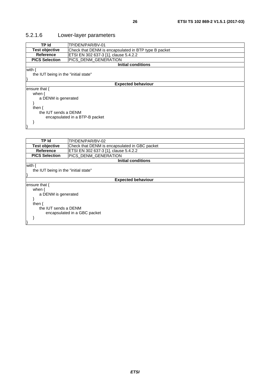# <span id="page-25-0"></span>5.2.1.6 Lower-layer parameters

| TP Id                                | TP/DEN/PAR/BV-01                                     |  |  |  |  |
|--------------------------------------|------------------------------------------------------|--|--|--|--|
| <b>Test objective</b>                | Check that DENM is encapsulated in BTP type B packet |  |  |  |  |
| <b>Reference</b>                     | ETSI EN 302 637-3 [1], clause 5.4.2.2                |  |  |  |  |
| <b>PICS Selection</b>                | PICS_DENM_GENERATION                                 |  |  |  |  |
|                                      | <b>Initial conditions</b>                            |  |  |  |  |
| with {                               |                                                      |  |  |  |  |
| the IUT being in the "initial state" |                                                      |  |  |  |  |
|                                      |                                                      |  |  |  |  |
|                                      | <b>Expected behaviour</b>                            |  |  |  |  |
| ensure that {                        |                                                      |  |  |  |  |
| when $\{$                            |                                                      |  |  |  |  |
| a DENM is generated                  |                                                      |  |  |  |  |
|                                      |                                                      |  |  |  |  |
| then $\{$                            |                                                      |  |  |  |  |
| the IUT sends a DENM                 |                                                      |  |  |  |  |
|                                      | encapsulated in a BTP-B packet                       |  |  |  |  |
|                                      |                                                      |  |  |  |  |
|                                      |                                                      |  |  |  |  |
|                                      |                                                      |  |  |  |  |
|                                      |                                                      |  |  |  |  |
| -- · ·                               | T''                                                  |  |  |  |  |

| TP Id                                | TP/DEN/PAR/BV-02                              |  |  |  |
|--------------------------------------|-----------------------------------------------|--|--|--|
| <b>Test objective</b>                | Check that DENM is encapsulated in GBC packet |  |  |  |
| Reference                            | ETSI EN 302 637-3 [1], clause 5.4.2.2         |  |  |  |
| <b>PICS Selection</b>                | PICS DENM GENERATION                          |  |  |  |
|                                      | <b>Initial conditions</b>                     |  |  |  |
| with {                               |                                               |  |  |  |
| the IUT being in the "initial state" |                                               |  |  |  |
|                                      |                                               |  |  |  |
|                                      | <b>Expected behaviour</b>                     |  |  |  |
| ensure that $\{$                     |                                               |  |  |  |
| when $\{$                            |                                               |  |  |  |
| a DENM is generated                  |                                               |  |  |  |
|                                      |                                               |  |  |  |
| then $\{$                            |                                               |  |  |  |
| the IUT sends a DENM                 |                                               |  |  |  |
|                                      | encapsulated in a GBC packet                  |  |  |  |
|                                      |                                               |  |  |  |
|                                      |                                               |  |  |  |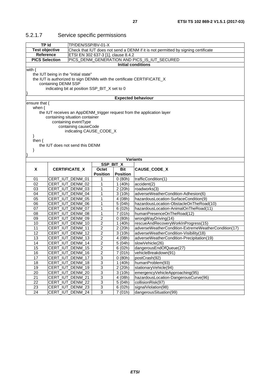| <b>TP Id</b>                                            |                                                                        | TP/DEN/SSP/BV-01-X      |                      |                                                                                   |
|---------------------------------------------------------|------------------------------------------------------------------------|-------------------------|----------------------|-----------------------------------------------------------------------------------|
| <b>Test objective</b>                                   |                                                                        |                         |                      | Check that IUT does not send a DENM if it is not permitted by signing certificate |
| ETSI EN 302 637-3 [1], clause 8.4.2<br><b>Reference</b> |                                                                        |                         |                      |                                                                                   |
| <b>PICS Selection</b>                                   |                                                                        |                         |                      | PICS_DENM_GENERATION AND PICS_IS_IUT_SECURED                                      |
|                                                         |                                                                        |                         |                      | <b>Initial conditions</b>                                                         |
| with $\{$                                               |                                                                        |                         |                      |                                                                                   |
|                                                         | the IUT being in the "initial state"                                   |                         |                      |                                                                                   |
|                                                         | the IUT is authorized to sign DENMs with the certificate CERTIFICATE_X |                         |                      |                                                                                   |
|                                                         | containing DENM SSP                                                    |                         |                      |                                                                                   |
|                                                         | indicating bit at position SSP_BIT_X set to 0                          |                         |                      |                                                                                   |
|                                                         |                                                                        |                         |                      |                                                                                   |
|                                                         |                                                                        |                         |                      | <b>Expected behaviour</b>                                                         |
| ensure that {                                           |                                                                        |                         |                      |                                                                                   |
| when $\{$                                               |                                                                        |                         |                      |                                                                                   |
|                                                         |                                                                        |                         |                      | the IUT receives an AppDENM_trigger request from the application layer            |
|                                                         | containing situation container                                         |                         |                      |                                                                                   |
|                                                         | containing eventType                                                   |                         |                      |                                                                                   |
|                                                         | containing causeCode                                                   |                         |                      |                                                                                   |
|                                                         |                                                                        | indicating CAUSE_CODE_X |                      |                                                                                   |
| ł                                                       |                                                                        |                         |                      |                                                                                   |
| then $\{$                                               |                                                                        |                         |                      |                                                                                   |
|                                                         | the IUT does not send this DENM                                        |                         |                      |                                                                                   |
| }                                                       |                                                                        |                         |                      |                                                                                   |
|                                                         |                                                                        |                         |                      | <b>Variants</b>                                                                   |
|                                                         |                                                                        |                         | SSP_BIT_X            |                                                                                   |
| X                                                       | CERTIFICATE_X                                                          | <b>Octet</b>            | <b>Bit</b>           | CAUSE_CODE_X                                                                      |
|                                                         |                                                                        | <b>Position</b>         | <b>Position</b>      |                                                                                   |
| 01                                                      | CERT_IUT_DENM_01                                                       | 1                       | 0(80h)               | trafficCondition(1)                                                               |
| 02                                                      | CERT_IUT_DENM_02                                                       | 1                       | 1(40h)               | accident(2)                                                                       |
| 03                                                      | CERT_IUT_DENM_03                                                       | 1                       | 2(20h)               | roadworks(3)                                                                      |
| 04                                                      | CERT_IUT_DENM_04                                                       | 1                       | $\overline{3}$ (10h) | adverseWeatherCondition-Adhesion(6)                                               |
| 05                                                      | CERT_IUT_DENM_05                                                       | 1                       | 4(08h)               | hazardousLocation-SurfaceCondition(9)                                             |
| 06                                                      | CERT_IUT_DENM_06                                                       | 1                       | 5(04h)               | hazardousLocation-ObstacleOnTheRoad(10)                                           |
| 07                                                      | CERT_IUT_DENM_07                                                       | 1                       | 6(02h)               | hazardousLocation-AnimalOnTheRoad(11)                                             |
| 08                                                      | CERT_IUT_DENM_08                                                       | 1                       | 7(01h)               | humanPresenceOnTheRoad(12)                                                        |
| 09                                                      | CERT_IUT_DENM_09                                                       | $\overline{c}$          | 0(80h)               | wrongWayDriving(14)                                                               |
| 10                                                      | CERT_IUT_DENM_10                                                       | $\overline{\mathbf{c}}$ | $\overline{1}$ (40h) | rescueAndRecoveryWorkInProgress(15)                                               |
| 11                                                      | CERT_IUT_DENM_11                                                       | 2                       | 2(20h)               | adverseWeatherCondition-ExtremeWeatherCondition(17)                               |
| 12                                                      | CERT_IUT_DENM_12                                                       | $\overline{\mathbf{c}}$ | 3(10h)               | adverseWeatherCondition-Visibility(18)                                            |
| 13                                                      | CERT_IUT_DENM_13                                                       | $\overline{\mathbf{c}}$ | 4 (08h)              | adverseWeatherCondition-Precipitation(19)                                         |
|                                                         | CERT_IUT_DENM_14                                                       |                         |                      |                                                                                   |
| 14<br>15                                                | CERT_IUT_DENM_15                                                       | 2<br>$\boldsymbol{2}$   | 5(04h)<br>6(02h)     | slowVehicle(26)<br>dangerousEndOfQueue(27)                                        |
|                                                         | CERT_IUT_DENM_16                                                       |                         |                      |                                                                                   |
| 16<br>$\overline{17}$                                   |                                                                        | $\boldsymbol{2}$        | 7(01h)               | vehicleBreakdown(91)                                                              |
|                                                         | CERT_IUT_DENM_17                                                       | $\frac{3}{3}$           | 0(80h)               | postCrash(92)                                                                     |
| 18                                                      | CERT_IUT_DENM_18                                                       |                         | 1(40h)               | humanProblem(93)                                                                  |
| 19                                                      | CERT_IUT_DENM_19                                                       | $\overline{3}$          | 2(20h)               | stationaryVehicle(94)                                                             |
| 20                                                      | CERT_IUT_DENM_20                                                       | $\overline{3}$          | 3(10h)               | emergencyVehicleApproaching(95)                                                   |
| 21                                                      | CERT_IUT_DENM_21                                                       | $\overline{3}$          | 4(08h)               | hazardousLocation-DangerousCurve(96)                                              |
| 22                                                      | CERT_IUT_DENM_22                                                       | $\overline{3}$          | 5(04h)               | collisionRisk(97)                                                                 |
| $\overline{23}$                                         | CERT_IUT_DENM_23                                                       | $\overline{3}$          | 6(02h)               | signalViolation(98)                                                               |

### <span id="page-26-0"></span>5.2.1.7 Service specific permissions

24 CERT\_IUT\_DENM\_24 3 7 (01h) dangerousSituation(99)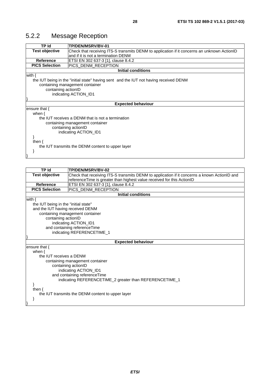# <span id="page-27-0"></span>5.2.2 Message Reception

| <b>TP Id</b>                    | TP/DEN/MSRV/BV-01                                                                           |  |  |  |
|---------------------------------|---------------------------------------------------------------------------------------------|--|--|--|
| <b>Test objective</b>           | Check that receiving ITS-S transmits DENM to application if it concerns an unknown ActionID |  |  |  |
|                                 | and if it is not a termination DENM                                                         |  |  |  |
| <b>Reference</b>                | ETSI EN 302 637-3 [1], clause 8.4.2                                                         |  |  |  |
| <b>PICS Selection</b>           | PICS_DENM_RECEPTION                                                                         |  |  |  |
|                                 | <b>Initial conditions</b>                                                                   |  |  |  |
| with $\{$                       |                                                                                             |  |  |  |
|                                 | the IUT being in the "initial state" having sent and the IUT not having received DENM       |  |  |  |
|                                 | containing management container                                                             |  |  |  |
| containing actionID             |                                                                                             |  |  |  |
| indicating ACTION_ID1           |                                                                                             |  |  |  |
|                                 |                                                                                             |  |  |  |
| <b>Expected behaviour</b>       |                                                                                             |  |  |  |
| ensure that {                   |                                                                                             |  |  |  |
| when $\{$                       |                                                                                             |  |  |  |
|                                 | the IUT receives a DENM that is not a termination                                           |  |  |  |
| containing management container |                                                                                             |  |  |  |
| containing actionID             |                                                                                             |  |  |  |
|                                 | indicating ACTION ID1                                                                       |  |  |  |
|                                 |                                                                                             |  |  |  |
| then $\{$                       |                                                                                             |  |  |  |
|                                 | the IUT transmits the DENM content to upper layer                                           |  |  |  |
|                                 |                                                                                             |  |  |  |
|                                 |                                                                                             |  |  |  |

| <b>TP Id</b>                         | TP/DEN/MSRV/BV-02                                                                            |  |  |  |  |  |
|--------------------------------------|----------------------------------------------------------------------------------------------|--|--|--|--|--|
| Test objective                       | Check that receiving ITS-S transmits DENM to application if it concerns a known ActionID and |  |  |  |  |  |
|                                      | referenceTime is greater than highest value received for this ActionID                       |  |  |  |  |  |
| Reference                            | ETSI EN 302 637-3 [1], clause 8.4.2                                                          |  |  |  |  |  |
| <b>PICS Selection</b>                | PICS_DENM_RECEPTION                                                                          |  |  |  |  |  |
|                                      | <b>Initial conditions</b>                                                                    |  |  |  |  |  |
| with $\{$                            |                                                                                              |  |  |  |  |  |
| the IUT being in the "initial state" |                                                                                              |  |  |  |  |  |
| and the IUT having received DENM     |                                                                                              |  |  |  |  |  |
|                                      | containing management container                                                              |  |  |  |  |  |
| containing actionID                  |                                                                                              |  |  |  |  |  |
|                                      | indicating ACTION_ID1                                                                        |  |  |  |  |  |
|                                      | and containing referenceTime                                                                 |  |  |  |  |  |
|                                      | indicating REFERENCETIME_1                                                                   |  |  |  |  |  |
|                                      |                                                                                              |  |  |  |  |  |
|                                      | <b>Expected behaviour</b>                                                                    |  |  |  |  |  |
| ensure that $\{$                     |                                                                                              |  |  |  |  |  |
| when $\{$<br>the IUT receives a DENM |                                                                                              |  |  |  |  |  |
|                                      | containing management container                                                              |  |  |  |  |  |
|                                      | containing actionID                                                                          |  |  |  |  |  |
|                                      | indicating ACTION_ID1                                                                        |  |  |  |  |  |
|                                      | and containing referenceTime                                                                 |  |  |  |  |  |
|                                      | indicating REFERENCETIME_2 greater than REFERENCETIME_1                                      |  |  |  |  |  |
|                                      |                                                                                              |  |  |  |  |  |
| then $\{$                            |                                                                                              |  |  |  |  |  |
|                                      | the IUT transmits the DENM content to upper layer                                            |  |  |  |  |  |
|                                      |                                                                                              |  |  |  |  |  |
|                                      |                                                                                              |  |  |  |  |  |
|                                      |                                                                                              |  |  |  |  |  |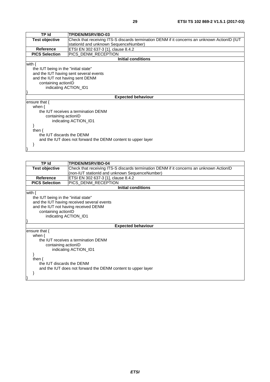| <b>TP Id</b>                         | TP/DEN/MSRV/BO-03                                                                            |  |  |  |
|--------------------------------------|----------------------------------------------------------------------------------------------|--|--|--|
| <b>Test objective</b>                | Check that receiving ITS-S discards termination DENM if it concerns an unknown ActionID (IUT |  |  |  |
|                                      | stationId and unknown SequenceNumber)                                                        |  |  |  |
| <b>Reference</b>                     | ETSI EN 302 637-3 [1], clause 8.4.2                                                          |  |  |  |
| <b>PICS Selection</b>                | PICS_DENM_RECEPTION                                                                          |  |  |  |
|                                      | <b>Initial conditions</b>                                                                    |  |  |  |
| with $\{$                            |                                                                                              |  |  |  |
| the IUT being in the "initial state" |                                                                                              |  |  |  |
|                                      | and the IUT having sent several events                                                       |  |  |  |
| and the IUT not having sent DENM     |                                                                                              |  |  |  |
| containing actionID                  |                                                                                              |  |  |  |
| indicating ACTION_ID1                |                                                                                              |  |  |  |
|                                      |                                                                                              |  |  |  |
|                                      | <b>Expected behaviour</b>                                                                    |  |  |  |
| ensure that $\{$                     |                                                                                              |  |  |  |
| when $\{$                            |                                                                                              |  |  |  |
|                                      | the IUT receives a termination DENM                                                          |  |  |  |
| containing actionID                  |                                                                                              |  |  |  |
|                                      | indicating ACTION_ID1                                                                        |  |  |  |
|                                      |                                                                                              |  |  |  |
| then $\{$                            |                                                                                              |  |  |  |
| the IUT discards the DENM            |                                                                                              |  |  |  |
|                                      | and the IUT does not forward the DENM content to upper layer                                 |  |  |  |
|                                      |                                                                                              |  |  |  |
|                                      |                                                                                              |  |  |  |
|                                      |                                                                                              |  |  |  |

| TP Id                                | <b>TP/DEN/MSRV/BO-04</b>                                                                |  |  |  |
|--------------------------------------|-----------------------------------------------------------------------------------------|--|--|--|
| <b>Test objective</b>                | Check that receiving ITS-S discards termination DENM if it concerns an unknown ActionID |  |  |  |
|                                      | (non-IUT stationId and unknown SequenceNumber)                                          |  |  |  |
| <b>Reference</b>                     | ETSI EN 302 637-3 [1], clause 8.4.2                                                     |  |  |  |
| <b>PICS Selection</b>                | PICS_DENM_RECEPTION                                                                     |  |  |  |
|                                      | <b>Initial conditions</b>                                                               |  |  |  |
| with $\{$                            |                                                                                         |  |  |  |
| the IUT being in the "initial state" |                                                                                         |  |  |  |
|                                      | and the IUT having received several events                                              |  |  |  |
|                                      | and the IUT not having received DENM                                                    |  |  |  |
| containing actionID                  |                                                                                         |  |  |  |
| indicating ACTION_ID1                |                                                                                         |  |  |  |
|                                      |                                                                                         |  |  |  |
|                                      | <b>Expected behaviour</b>                                                               |  |  |  |
| ensure that {                        |                                                                                         |  |  |  |
| when $\{$                            |                                                                                         |  |  |  |
|                                      | the IUT receives a termination DENM                                                     |  |  |  |
| containing actionID                  |                                                                                         |  |  |  |
|                                      | indicating ACTION_ID1                                                                   |  |  |  |
|                                      |                                                                                         |  |  |  |
| then $\{$                            |                                                                                         |  |  |  |
| the IUT discards the DENM            |                                                                                         |  |  |  |
|                                      | and the IUT does not forward the DENM content to upper layer                            |  |  |  |
|                                      |                                                                                         |  |  |  |
|                                      |                                                                                         |  |  |  |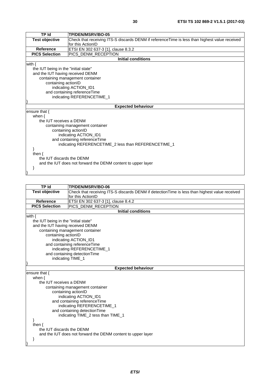| TP Id                                | TP/DEN/MSRV/BO-05                                                                             |  |  |  |
|--------------------------------------|-----------------------------------------------------------------------------------------------|--|--|--|
| <b>Test objective</b>                | Check that receiving ITS-S discards DENM if referenceTime is less than highest value received |  |  |  |
|                                      | for this ActionID                                                                             |  |  |  |
| <b>Reference</b>                     | ETSI EN 302 637-3 [1], clause 8.3.2                                                           |  |  |  |
| <b>PICS Selection</b>                | PICS_DENM_RECEPTION                                                                           |  |  |  |
|                                      | <b>Initial conditions</b>                                                                     |  |  |  |
| with $\{$                            |                                                                                               |  |  |  |
| the IUT being in the "initial state" |                                                                                               |  |  |  |
| and the IUT having received DENM     |                                                                                               |  |  |  |
|                                      | containing management container                                                               |  |  |  |
| containing actionID                  |                                                                                               |  |  |  |
|                                      | indicating ACTION_ID1                                                                         |  |  |  |
|                                      | and containing referenceTime                                                                  |  |  |  |
|                                      | indicating REFERENCETIME_1                                                                    |  |  |  |
|                                      |                                                                                               |  |  |  |
|                                      | <b>Expected behaviour</b>                                                                     |  |  |  |
| ensure that $\{$                     |                                                                                               |  |  |  |
| when $\{$<br>the IUT receives a DENM |                                                                                               |  |  |  |
|                                      |                                                                                               |  |  |  |
|                                      | containing management container                                                               |  |  |  |
|                                      | containing actionID<br>indicating ACTION_ID1                                                  |  |  |  |
|                                      | and containing referenceTime                                                                  |  |  |  |
|                                      | indicating REFERENCETIME_2 less than REFERENCETIME_1                                          |  |  |  |
|                                      |                                                                                               |  |  |  |
| then $\{$                            |                                                                                               |  |  |  |
| the IUT discards the DENM            |                                                                                               |  |  |  |
|                                      | and the IUT does not forward the DENM content to upper layer                                  |  |  |  |
|                                      |                                                                                               |  |  |  |
|                                      |                                                                                               |  |  |  |

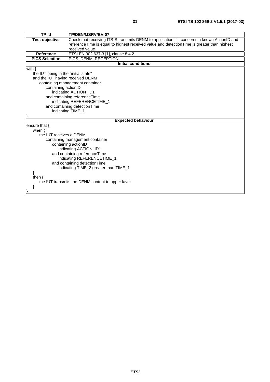| <b>TP Id</b>                         | TP/DEN/MSRV/BV-07                                                                            |  |  |  |  |
|--------------------------------------|----------------------------------------------------------------------------------------------|--|--|--|--|
| <b>Test objective</b>                | Check that receiving ITS-S transmits DENM to application if it concerns a known ActionID and |  |  |  |  |
|                                      | referenceTime is equal to highest received value and detectionTime is greater than highest   |  |  |  |  |
|                                      | received value                                                                               |  |  |  |  |
| <b>Reference</b>                     | ETSI EN 302 637-3 [1], clause 8.4.2                                                          |  |  |  |  |
| <b>PICS Selection</b>                | PICS_DENM_RECEPTION                                                                          |  |  |  |  |
|                                      | <b>Initial conditions</b>                                                                    |  |  |  |  |
| with $\{$                            |                                                                                              |  |  |  |  |
| the IUT being in the "initial state" |                                                                                              |  |  |  |  |
| and the IUT having received DENM     |                                                                                              |  |  |  |  |
|                                      | containing management container                                                              |  |  |  |  |
| containing actionID                  |                                                                                              |  |  |  |  |
|                                      | indicating ACTION_ID1                                                                        |  |  |  |  |
|                                      | and containing reference Time                                                                |  |  |  |  |
|                                      | indicating REFERENCETIME_1                                                                   |  |  |  |  |
|                                      | and containing detectionTime                                                                 |  |  |  |  |
|                                      | indicating TIME_1                                                                            |  |  |  |  |
|                                      |                                                                                              |  |  |  |  |
|                                      | <b>Expected behaviour</b>                                                                    |  |  |  |  |
| ensure that {                        |                                                                                              |  |  |  |  |
| when $\{$                            |                                                                                              |  |  |  |  |
| the IUT receives a DENM              |                                                                                              |  |  |  |  |
|                                      | containing management container                                                              |  |  |  |  |
|                                      | containing actionID                                                                          |  |  |  |  |
|                                      | indicating ACTION_ID1                                                                        |  |  |  |  |
|                                      | and containing referenceTime                                                                 |  |  |  |  |
| indicating REFERENCETIME_1           |                                                                                              |  |  |  |  |
| and containing detection Time        |                                                                                              |  |  |  |  |
|                                      | indicating TIME_2 greater than TIME_1                                                        |  |  |  |  |
|                                      |                                                                                              |  |  |  |  |
| then $\{$                            |                                                                                              |  |  |  |  |
|                                      | the IUT transmits the DENM content to upper layer                                            |  |  |  |  |
|                                      |                                                                                              |  |  |  |  |
|                                      |                                                                                              |  |  |  |  |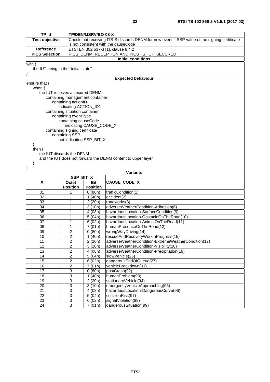| <b>TP Id</b>                         |                                                                      | TP/DEN/MSRV/BO-08-X     |                                                                                                |  |  |
|--------------------------------------|----------------------------------------------------------------------|-------------------------|------------------------------------------------------------------------------------------------|--|--|
| <b>Test objective</b>                |                                                                      |                         | Check that receiving ITS-S discards DENM for new event if SSP value of the signing certificate |  |  |
|                                      |                                                                      |                         | is not consistent with the causeCode                                                           |  |  |
| Reference                            |                                                                      |                         | ETSI EN 302 637-3 [1], clause 8.4.2                                                            |  |  |
|                                      | <b>PICS Selection</b><br>PICS_DENM_RECEPTION AND PICS_IS_IUT_SECURED |                         |                                                                                                |  |  |
|                                      |                                                                      |                         | <b>Initial conditions</b>                                                                      |  |  |
| with $\{$                            |                                                                      |                         |                                                                                                |  |  |
| the IUT being in the "initial state" |                                                                      |                         |                                                                                                |  |  |
|                                      |                                                                      |                         |                                                                                                |  |  |
|                                      |                                                                      |                         | <b>Expected behaviour</b>                                                                      |  |  |
| ensure that {                        |                                                                      |                         |                                                                                                |  |  |
| when $\{$                            |                                                                      |                         |                                                                                                |  |  |
|                                      | the IUT receives a secured DENM                                      |                         |                                                                                                |  |  |
|                                      | containing management container                                      |                         |                                                                                                |  |  |
|                                      | containing actionID                                                  |                         |                                                                                                |  |  |
|                                      | indicating ACTION_ID1                                                |                         |                                                                                                |  |  |
|                                      | containing situation container                                       |                         |                                                                                                |  |  |
|                                      | containing eventType                                                 |                         |                                                                                                |  |  |
|                                      | containing causeCode                                                 |                         |                                                                                                |  |  |
|                                      |                                                                      | indicating CAUSE_CODE_X |                                                                                                |  |  |
|                                      | containing signing certificate<br>containing SSP                     |                         |                                                                                                |  |  |
|                                      | not indicating SSP_BIT_X                                             |                         |                                                                                                |  |  |
| ł                                    |                                                                      |                         |                                                                                                |  |  |
| then $\{$                            |                                                                      |                         |                                                                                                |  |  |
|                                      | the IUT discards the DENM                                            |                         |                                                                                                |  |  |
|                                      |                                                                      |                         | and the IUT does not forward the DENM content to upper layer                                   |  |  |
| ł                                    |                                                                      |                         |                                                                                                |  |  |
|                                      |                                                                      |                         |                                                                                                |  |  |
|                                      |                                                                      |                         | <b>Variants</b>                                                                                |  |  |
|                                      | SSP_BIT_X                                                            |                         |                                                                                                |  |  |
| X                                    | Octet                                                                | <b>Bit</b>              | CAUSE_CODE_X                                                                                   |  |  |
|                                      | <b>Position</b>                                                      | <b>Position</b>         |                                                                                                |  |  |
| 01                                   | 1                                                                    | 0(80h)                  | trafficCondition(1)                                                                            |  |  |
| 02                                   | 1                                                                    | 1(40h)                  | accident(2)                                                                                    |  |  |
| 03                                   | 1                                                                    | $\overline{2}$ (20h)    | $\overline{\text{roadworks}}(3)$                                                               |  |  |
| 04                                   | 1                                                                    | 3(10h)                  | adverseWeatherCondition-Adhesion(6)                                                            |  |  |
| 05                                   | 1                                                                    | 4 (08h)                 | hazardousLocation-SurfaceCondition(9)                                                          |  |  |
| 06                                   | 1                                                                    | 5(04h)                  | hazardousLocation-ObstacleOnTheRoad(10)                                                        |  |  |
| 07                                   | 1                                                                    | 6(02h)                  | hazardousLocation-AnimalOnTheRoad(11)                                                          |  |  |
| 08                                   | 1                                                                    | 7(01h)                  | humanPresenceOnTheRoad(12)                                                                     |  |  |
| 09                                   | 2                                                                    | 0(80h)                  | wrongWayDriving(14)                                                                            |  |  |
| 10                                   | 2                                                                    | 1 (40h)                 | rescueAndRecoveryWorkInProgress(15)                                                            |  |  |
| 11                                   | $\overline{2}$                                                       | 2 (20h)                 | adverseWeatherCondition-ExtremeWeatherCondition(17)                                            |  |  |
| $\overline{12}$                      | $\overline{2}$                                                       | 3(10h)                  | adverseWeatherCondition-Visibility(18)                                                         |  |  |
| $\overline{13}$                      | $\overline{2}$                                                       | $\overline{4}$ (08h)    | adverseWeatherCondition-Precipitation(19)                                                      |  |  |
| 14                                   | $\overline{2}$                                                       | 5(04h)                  | slowVehicle(26)                                                                                |  |  |
| 15                                   | $\overline{2}$                                                       | 6(02h)                  | dangerousEndOfQueue(27)                                                                        |  |  |
| 16                                   | $\overline{\mathbf{c}}$                                              | 7(01h)                  | vehicleBreakdown(91)                                                                           |  |  |
| $\overline{17}$                      | 3                                                                    | 0(80h)                  | postCrash(92)                                                                                  |  |  |
| 18                                   | 3                                                                    | 1(40h)                  | humanProblem(93)                                                                               |  |  |
| 19                                   | 3                                                                    | 2 (20h)                 | stationaryVehicle(94)                                                                          |  |  |
| 20                                   | 3                                                                    | 3(10h)                  | emergencyVehicleApproaching(95)                                                                |  |  |
| 21                                   | $\overline{3}$                                                       | 4 (08h)                 | hazardousLocation-DangerousCurve(96)                                                           |  |  |
| $\overline{22}$                      | $\overline{3}$                                                       | 5(04h)                  | collisionRisk(97)                                                                              |  |  |
| 23                                   | 3                                                                    | 6(02h)                  | signalViolation(98)                                                                            |  |  |
| $\overline{24}$                      | $\overline{3}$                                                       | $\frac{1}{7}$ (01h)     | dangerousSituation(99)                                                                         |  |  |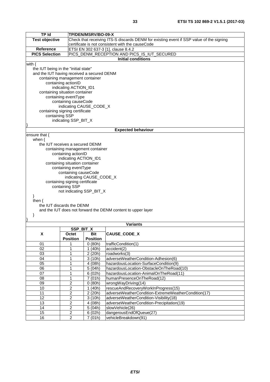| <b>TP Id</b>                               | TP/DEN/MSRV/BO-09-X                                                                     |                                             |                                                              |  |  |
|--------------------------------------------|-----------------------------------------------------------------------------------------|---------------------------------------------|--------------------------------------------------------------|--|--|
| <b>Test objective</b>                      | Check that receiving ITS-S discards DENM for existing event if SSP value of the signing |                                             |                                                              |  |  |
|                                            |                                                                                         |                                             | certificate is not consistent with the causeCode             |  |  |
| <b>Reference</b>                           |                                                                                         |                                             | ETSI EN 302 637-3 [1], clause 8.4.2                          |  |  |
| <b>PICS Selection</b>                      |                                                                                         | PICS_DENM_RECEPTION AND PICS_IS_IUT_SECURED |                                                              |  |  |
|                                            |                                                                                         |                                             | <b>Initial conditions</b>                                    |  |  |
| with $\{$                                  |                                                                                         |                                             |                                                              |  |  |
| the IUT being in the "initial state"       |                                                                                         |                                             |                                                              |  |  |
| and the IUT having received a secured DENM |                                                                                         |                                             |                                                              |  |  |
|                                            | containing management container                                                         |                                             |                                                              |  |  |
|                                            | containing actionID                                                                     |                                             |                                                              |  |  |
|                                            | indicating ACTION_ID1                                                                   |                                             |                                                              |  |  |
|                                            | containing situation container                                                          |                                             |                                                              |  |  |
|                                            | containing eventType                                                                    |                                             |                                                              |  |  |
|                                            | containing causeCode                                                                    |                                             |                                                              |  |  |
|                                            | indicating CAUSE_CODE_X                                                                 |                                             |                                                              |  |  |
|                                            | containing signing certificate                                                          |                                             |                                                              |  |  |
| containing SSP                             |                                                                                         |                                             |                                                              |  |  |
|                                            | indicating SSP_BIT_X                                                                    |                                             |                                                              |  |  |
|                                            |                                                                                         |                                             |                                                              |  |  |
|                                            |                                                                                         |                                             | <b>Expected behaviour</b>                                    |  |  |
| ensure that {                              |                                                                                         |                                             |                                                              |  |  |
| when $\{$                                  |                                                                                         |                                             |                                                              |  |  |
|                                            | the IUT receives a secured DENM                                                         |                                             |                                                              |  |  |
|                                            | containing management container                                                         |                                             |                                                              |  |  |
|                                            | containing actionID<br>indicating ACTION_ID1                                            |                                             |                                                              |  |  |
|                                            | containing situation container                                                          |                                             |                                                              |  |  |
|                                            | containing eventType                                                                    |                                             |                                                              |  |  |
|                                            | containing causeCode                                                                    |                                             |                                                              |  |  |
|                                            |                                                                                         | indicating CAUSE_CODE_X                     |                                                              |  |  |
|                                            | containing signing certificate                                                          |                                             |                                                              |  |  |
|                                            | containing SSP                                                                          |                                             |                                                              |  |  |
|                                            | not indicating SSP_BIT_X                                                                |                                             |                                                              |  |  |
| ł                                          |                                                                                         |                                             |                                                              |  |  |
| then $\{$                                  |                                                                                         |                                             |                                                              |  |  |
|                                            | the IUT discards the DENM                                                               |                                             |                                                              |  |  |
|                                            |                                                                                         |                                             | and the IUT does not forward the DENM content to upper layer |  |  |
| ł                                          |                                                                                         |                                             |                                                              |  |  |
|                                            |                                                                                         |                                             |                                                              |  |  |
|                                            |                                                                                         |                                             | <b>Variants</b>                                              |  |  |
|                                            | SSP_BIT_X                                                                               |                                             |                                                              |  |  |
| X                                          | Octet                                                                                   | Bit                                         | CAUSE_CODE_X                                                 |  |  |
|                                            | <b>Position</b>                                                                         | <b>Position</b>                             |                                                              |  |  |
| 01                                         |                                                                                         | 0(80h)                                      | trafficCondition(1)                                          |  |  |
| $\overline{02}$                            | 1                                                                                       | 1(40h)                                      | accident(2)                                                  |  |  |
| 03                                         | 1                                                                                       | 2(20h)                                      | roadworks(3)                                                 |  |  |
| 04                                         | 1                                                                                       | 3(10h)                                      | adverseWeatherCondition-Adhesion(6)                          |  |  |
| $\overline{05}$                            | 1                                                                                       | 4 (08h)                                     | hazardousLocation-SurfaceCondition(9)                        |  |  |
| $\overline{06}$                            | 1                                                                                       | 5(04h)                                      | hazardousLocation-ObstacleOnTheRoad(10)                      |  |  |
| 07                                         | $\mathbf{1}$                                                                            | 6(02h)                                      | hazardousLocation-AnimalOnTheRoad(11)                        |  |  |
| 08                                         | $\mathbf{1}$                                                                            | $\frac{1}{7}$ (01h)                         | humanPresenceOnTheRoad(12)                                   |  |  |
| 09                                         | $\boldsymbol{2}$                                                                        | 0(80h)                                      | wrongWayDriving(14)                                          |  |  |
| 10                                         | $\overline{2}$                                                                          | 1(40h)                                      | rescueAndRecoveryWorkInProgress(15)                          |  |  |
| $\overline{11}$                            | $\overline{2}$                                                                          | 2 (20h)                                     | adverseWeatherCondition-ExtremeWeatherCondition(17)          |  |  |
| $\overline{12}$                            | $\overline{2}$                                                                          | 3(10h)                                      | adverseWeatherCondition-Visibility(18)                       |  |  |
| $\overline{13}$                            | $\overline{2}$                                                                          | 4(08h)                                      | adverseWeatherCondition-Precipitation(19)                    |  |  |

14 2 5 (04h) slowVehicle(26)

15 2 6 (02h) dangerousEndOfQueue(27) 16 2 7 (01h) vehicleBreakdown(91)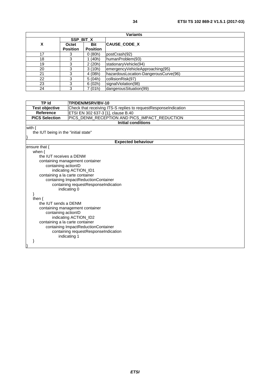| <b>Variants</b> |                 |                 |                                      |
|-----------------|-----------------|-----------------|--------------------------------------|
|                 | SSP BIT X       |                 |                                      |
| X               | Octet           | <b>Bit</b>      | <b>CAUSE CODE X</b>                  |
|                 | <b>Position</b> | <b>Position</b> |                                      |
| 17              |                 | 0(80h)          | postCrash(92)                        |
| 18              | 3               | (40h)           | humanProblem(93)                     |
| 19              | 3               | 2(20h)          | stationaryVehicle(94)                |
| 20              | 3               | 3(10h)          | emergencyVehicleApproaching(95)      |
| 21              | 3               | 4(08h)          | hazardousLocation-DangerousCurve(96) |
| 22              |                 | 5(04h)          | collisionRisk(97)                    |
| 23              |                 | 6(02h)          | signalViolation(98)                  |
| 24              | 3               | (01h)           | dangerousSituation(99)               |

| <b>TP Id</b>                                                                                                                                                                                                                              | TP/DEN/MSRV/BV-10                                               |  |  |
|-------------------------------------------------------------------------------------------------------------------------------------------------------------------------------------------------------------------------------------------|-----------------------------------------------------------------|--|--|
| <b>Test objective</b>                                                                                                                                                                                                                     | Check that receiving ITS-S replies to requestResponseIndication |  |  |
| Reference                                                                                                                                                                                                                                 | ETSI EN 302 637-3 [1], clause B.40                              |  |  |
| <b>PICS Selection</b>                                                                                                                                                                                                                     | PICS_DENM_RECEPTION AND PICS_IMPACT_REDUCTION                   |  |  |
|                                                                                                                                                                                                                                           | <b>Initial conditions</b>                                       |  |  |
| with $\{$                                                                                                                                                                                                                                 |                                                                 |  |  |
| the IUT being in the "initial state"                                                                                                                                                                                                      |                                                                 |  |  |
|                                                                                                                                                                                                                                           |                                                                 |  |  |
|                                                                                                                                                                                                                                           | <b>Expected behaviour</b>                                       |  |  |
| ensure that {                                                                                                                                                                                                                             |                                                                 |  |  |
| when $\{$                                                                                                                                                                                                                                 |                                                                 |  |  |
| the IUT receives a DENM                                                                                                                                                                                                                   |                                                                 |  |  |
|                                                                                                                                                                                                                                           | containing management container                                 |  |  |
|                                                                                                                                                                                                                                           | containing actionID                                             |  |  |
|                                                                                                                                                                                                                                           | indicating ACTION_ID1                                           |  |  |
| containing a la carte container                                                                                                                                                                                                           |                                                                 |  |  |
| containing ImpactReductionContainer                                                                                                                                                                                                       |                                                                 |  |  |
|                                                                                                                                                                                                                                           | containing requestResponseIndication                            |  |  |
| indicating 0                                                                                                                                                                                                                              |                                                                 |  |  |
|                                                                                                                                                                                                                                           |                                                                 |  |  |
| then $\{$                                                                                                                                                                                                                                 |                                                                 |  |  |
|                                                                                                                                                                                                                                           |                                                                 |  |  |
|                                                                                                                                                                                                                                           |                                                                 |  |  |
|                                                                                                                                                                                                                                           |                                                                 |  |  |
|                                                                                                                                                                                                                                           |                                                                 |  |  |
|                                                                                                                                                                                                                                           |                                                                 |  |  |
|                                                                                                                                                                                                                                           |                                                                 |  |  |
|                                                                                                                                                                                                                                           |                                                                 |  |  |
|                                                                                                                                                                                                                                           |                                                                 |  |  |
|                                                                                                                                                                                                                                           |                                                                 |  |  |
| the IUT sends a DENM<br>containing management container<br>containing actionID<br>indicating ACTION_ID2<br>containing a la carte container<br>containing ImpactReductionContainer<br>containing requestResponseIndication<br>indicating 1 |                                                                 |  |  |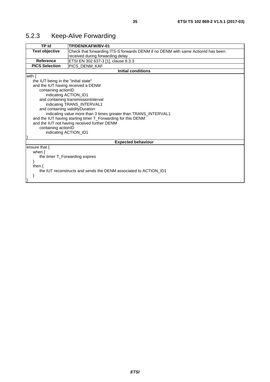# <span id="page-34-0"></span>5.2.3 Keep-Alive Forwarding

| <b>TP Id</b>                                                    | TP/DEN/KAFW/BV-01                                                                |  |  |
|-----------------------------------------------------------------|----------------------------------------------------------------------------------|--|--|
| <b>Test objective</b>                                           | Check that forwarding ITS-S forwards DENM if no DENM with same ActionId has been |  |  |
|                                                                 | received during forwarding delay                                                 |  |  |
| Reference                                                       | ETSI EN 302 637-3 [1], clause 8.3.3                                              |  |  |
| <b>PICS Selection</b>                                           | PICS DENM KAF                                                                    |  |  |
|                                                                 | <b>Initial conditions</b>                                                        |  |  |
| with $\{$                                                       |                                                                                  |  |  |
| the IUT being in the "initial state"                            |                                                                                  |  |  |
| and the IUT having received a DENM                              |                                                                                  |  |  |
| containing actionID                                             |                                                                                  |  |  |
| indicating ACTION_ID1                                           |                                                                                  |  |  |
|                                                                 | and containing transmissionInterval                                              |  |  |
|                                                                 | indicating TRANS_INTERVAL1                                                       |  |  |
| and containing validityDuration                                 |                                                                                  |  |  |
| indicating value more than 3 times greater than TRANS_INTERVAL1 |                                                                                  |  |  |
| and the IUT having starting timer T_Forwarding for this DENM    |                                                                                  |  |  |
| and the IUT not having received further DENM                    |                                                                                  |  |  |
|                                                                 | containing actionID                                                              |  |  |
| indicating ACTION_ID1                                           |                                                                                  |  |  |
|                                                                 |                                                                                  |  |  |
|                                                                 | <b>Expected behaviour</b>                                                        |  |  |
| ensure that {                                                   |                                                                                  |  |  |
| when $\{$                                                       |                                                                                  |  |  |
| the timer T_Forwarding expires                                  |                                                                                  |  |  |
|                                                                 |                                                                                  |  |  |
| then $\{$                                                       |                                                                                  |  |  |
|                                                                 | the IUT reconstructs and sends the DENM associated to ACTION ID1                 |  |  |
|                                                                 |                                                                                  |  |  |
|                                                                 |                                                                                  |  |  |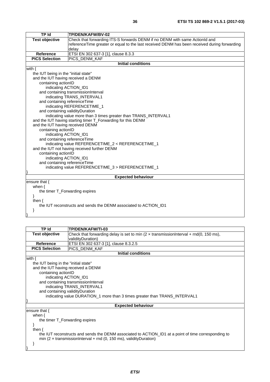| <b>TP Id</b>                                                    | TP/DEN/KAFW/BV-02                                                                            |  |  |
|-----------------------------------------------------------------|----------------------------------------------------------------------------------------------|--|--|
| <b>Test objective</b>                                           | Check that forwarding ITS-S forwards DENM if no DENM with same ActionId and                  |  |  |
|                                                                 | referenceTime greater or equal to the last received DENM has been received during forwarding |  |  |
|                                                                 | delay                                                                                        |  |  |
| Reference                                                       | ETSI EN 302 637-3 [1], clause 8.3.3                                                          |  |  |
| <b>PICS Selection</b>                                           | PICS_DENM_KAF                                                                                |  |  |
|                                                                 | <b>Initial conditions</b>                                                                    |  |  |
| with $\{$                                                       |                                                                                              |  |  |
| the IUT being in the "initial state"                            |                                                                                              |  |  |
| and the IUT having received a DENM                              |                                                                                              |  |  |
| containing actionID                                             |                                                                                              |  |  |
| indicating ACTION_ID1                                           |                                                                                              |  |  |
|                                                                 | and containing transmissionInterval                                                          |  |  |
|                                                                 | indicating TRANS_INTERVAL1                                                                   |  |  |
|                                                                 | and containing referenceTime                                                                 |  |  |
|                                                                 | indicating REFERENCETIME_1                                                                   |  |  |
| and containing validityDuration                                 |                                                                                              |  |  |
| indicating value more than 3 times greater than TRANS_INTERVAL1 |                                                                                              |  |  |
|                                                                 | and the IUT having starting timer T_Forwarding for this DENM                                 |  |  |
| and the IUT having received DENM                                |                                                                                              |  |  |
| containing actionID                                             |                                                                                              |  |  |
|                                                                 | indicating ACTION_ID1                                                                        |  |  |
| and containing referenceTime                                    |                                                                                              |  |  |
|                                                                 | indicating value REFERENCETIME_2 < REFERENCETIME_1                                           |  |  |
| and the IUT not having received further DENM                    |                                                                                              |  |  |
| containing actionID<br>indicating ACTION_ID1                    |                                                                                              |  |  |
|                                                                 |                                                                                              |  |  |
| and containing referenceTime                                    |                                                                                              |  |  |
|                                                                 | indicating value REFERENCETIME_3 > REFERENCETIME_1                                           |  |  |
| <b>Expected behaviour</b>                                       |                                                                                              |  |  |
| ensure that {                                                   |                                                                                              |  |  |
| when $\{$                                                       |                                                                                              |  |  |
| the timer T_Forwarding expires                                  |                                                                                              |  |  |
| ł                                                               |                                                                                              |  |  |
| then $\{$                                                       |                                                                                              |  |  |
|                                                                 | the IUT reconstructs and sends the DENM associated to ACTION_ID1                             |  |  |
| ł                                                               |                                                                                              |  |  |
|                                                                 |                                                                                              |  |  |

| TP Id                                                                                                                                                                               | <b>TP/DEN/KAFW/TI-03</b>                                                                      |  |  |
|-------------------------------------------------------------------------------------------------------------------------------------------------------------------------------------|-----------------------------------------------------------------------------------------------|--|--|
| <b>Test objective</b>                                                                                                                                                               | Check that forwarding delay is set to min $(2 \times$ transmission Interval + rnd(0, 150 ms), |  |  |
|                                                                                                                                                                                     | validityDuration)                                                                             |  |  |
| <b>Reference</b>                                                                                                                                                                    | ETSI EN 302 637-3 [1], clause 8.3.2.5                                                         |  |  |
| <b>PICS Selection</b>                                                                                                                                                               | PICS_DENM_KAF                                                                                 |  |  |
|                                                                                                                                                                                     | <b>Initial conditions</b>                                                                     |  |  |
| with $\{$                                                                                                                                                                           |                                                                                               |  |  |
| the IUT being in the "initial state"                                                                                                                                                |                                                                                               |  |  |
|                                                                                                                                                                                     | and the IUT having received a DENM                                                            |  |  |
|                                                                                                                                                                                     | containing actionID                                                                           |  |  |
|                                                                                                                                                                                     | indicating ACTION_ID1                                                                         |  |  |
| and containing transmissionInterval                                                                                                                                                 |                                                                                               |  |  |
|                                                                                                                                                                                     | indicating TRANS_INTERVAL1                                                                    |  |  |
|                                                                                                                                                                                     | and containing validity Duration                                                              |  |  |
|                                                                                                                                                                                     | indicating value DURATION_1 more than 3 times greater than TRANS_INTERVAL1                    |  |  |
|                                                                                                                                                                                     |                                                                                               |  |  |
| <b>Expected behaviour</b>                                                                                                                                                           |                                                                                               |  |  |
| ensure that $\{$                                                                                                                                                                    |                                                                                               |  |  |
| when $\{$                                                                                                                                                                           |                                                                                               |  |  |
| the timer T_Forwarding expires                                                                                                                                                      |                                                                                               |  |  |
| ł<br>then $\{$                                                                                                                                                                      |                                                                                               |  |  |
|                                                                                                                                                                                     |                                                                                               |  |  |
| the IUT reconstructs and sends the DENM associated to ACTION_ID1 at a point of time corresponding to<br>min (2 $\times$ transmission Interval + rnd (0, 150 ms), validity Duration) |                                                                                               |  |  |
|                                                                                                                                                                                     |                                                                                               |  |  |
|                                                                                                                                                                                     |                                                                                               |  |  |
|                                                                                                                                                                                     |                                                                                               |  |  |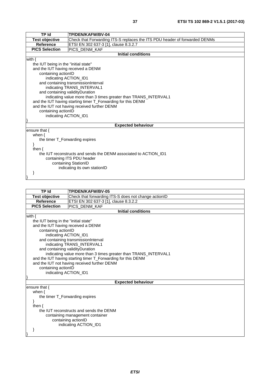| TP/DEN/KAFW/BV-04                                                          |  |  |
|----------------------------------------------------------------------------|--|--|
| Check that Forwarding ITS-S replaces the ITS PDU header of forwarded DENMs |  |  |
| ETSI EN 302 637-3 [1], clause 8.3.2.7                                      |  |  |
| PICS_DENM_KAF                                                              |  |  |
| <b>Initial conditions</b>                                                  |  |  |
|                                                                            |  |  |
| the IUT being in the "initial state"                                       |  |  |
| and the IUT having received a DENM                                         |  |  |
| containing actionID                                                        |  |  |
| indicating ACTION_ID1                                                      |  |  |
| and containing transmissionInterval                                        |  |  |
| indicating TRANS_INTERVAL1                                                 |  |  |
| and containing validityDuration                                            |  |  |
| indicating value more than 3 times greater than TRANS_INTERVAL1            |  |  |
| and the IUT having starting timer T_Forwarding for this DENM               |  |  |
| and the IUT not having received further DENM                               |  |  |
| containing actionID                                                        |  |  |
| indicating ACTION_ID1                                                      |  |  |
|                                                                            |  |  |
| <b>Expected behaviour</b>                                                  |  |  |
|                                                                            |  |  |
|                                                                            |  |  |
| the timer T_Forwarding expires                                             |  |  |
|                                                                            |  |  |
|                                                                            |  |  |
| the IUT reconstructs and sends the DENM associated to ACTION ID1           |  |  |
| containing ITS PDU header                                                  |  |  |
| containing StationID                                                       |  |  |
| indicating its own stationID                                               |  |  |
|                                                                            |  |  |

| <b>TP Id</b>                            | TP/DEN/KAFW/BV-05                                               |  |  |
|-----------------------------------------|-----------------------------------------------------------------|--|--|
| <b>Test objective</b>                   | Check that forwarding ITS-S does not change actionID            |  |  |
| <b>Reference</b>                        | ETSI EN 302 637-3 [1], clause 8.3.2.2                           |  |  |
| <b>PICS Selection</b>                   | <b>PICS DENM KAF</b>                                            |  |  |
|                                         | <b>Initial conditions</b>                                       |  |  |
| with $\{$                               |                                                                 |  |  |
| the IUT being in the "initial state"    |                                                                 |  |  |
| and the IUT having received a DENM      |                                                                 |  |  |
| containing actionID                     |                                                                 |  |  |
| indicating ACTION_ID1                   |                                                                 |  |  |
|                                         | and containing transmissionInterval                             |  |  |
|                                         | indicating TRANS_INTERVAL1                                      |  |  |
|                                         | and containing validityDuration                                 |  |  |
|                                         | indicating value more than 3 times greater than TRANS_INTERVAL1 |  |  |
|                                         | and the IUT having starting timer T_Forwarding for this DENM    |  |  |
|                                         | and the IUT not having received further DENM                    |  |  |
| containing actionID                     |                                                                 |  |  |
| indicating ACTION_ID1                   |                                                                 |  |  |
|                                         |                                                                 |  |  |
|                                         | <b>Expected behaviour</b>                                       |  |  |
| ensure that {                           |                                                                 |  |  |
| when $\{$                               |                                                                 |  |  |
|                                         | the timer T Forwarding expires                                  |  |  |
|                                         |                                                                 |  |  |
| then $\{$                               |                                                                 |  |  |
| the IUT reconstructs and sends the DENM |                                                                 |  |  |
| containing management container         |                                                                 |  |  |
| containing actionID                     |                                                                 |  |  |
|                                         | indicating ACTION_ID1                                           |  |  |
|                                         |                                                                 |  |  |
|                                         |                                                                 |  |  |
|                                         |                                                                 |  |  |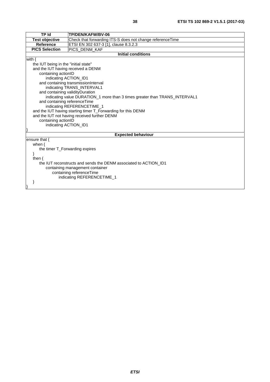| ۰.<br>× | I<br>×<br>$\sim$<br>۰. |  |
|---------|------------------------|--|

| <b>TP Id</b>                                                     | TP/DEN/KAFW/BV-06                                                          |  |  |
|------------------------------------------------------------------|----------------------------------------------------------------------------|--|--|
| <b>Test objective</b>                                            | Check that forwarding ITS-S does not change referenceTime                  |  |  |
| <b>Reference</b>                                                 | ETSI EN 302 637-3 [1], clause 8.3.2.3                                      |  |  |
| <b>PICS Selection</b>                                            | PICS_DENM_KAF                                                              |  |  |
|                                                                  | <b>Initial conditions</b>                                                  |  |  |
| with $\{$                                                        |                                                                            |  |  |
| the IUT being in the "initial state"                             |                                                                            |  |  |
| and the IUT having received a DENM                               |                                                                            |  |  |
| containing actionID                                              |                                                                            |  |  |
| indicating ACTION_ID1                                            |                                                                            |  |  |
|                                                                  | and containing transmissionInterval                                        |  |  |
|                                                                  | indicating TRANS_INTERVAL1                                                 |  |  |
| and containing validity Duration                                 |                                                                            |  |  |
|                                                                  | indicating value DURATION_1 more than 3 times greater than TRANS_INTERVAL1 |  |  |
|                                                                  | and containing referenceTime                                               |  |  |
|                                                                  | indicating REFERENCETIME_1                                                 |  |  |
|                                                                  | and the IUT having starting timer T_Forwarding for this DENM               |  |  |
| and the IUT not having received further DENM                     |                                                                            |  |  |
|                                                                  | containing actionID                                                        |  |  |
| indicating ACTION_ID1                                            |                                                                            |  |  |
|                                                                  |                                                                            |  |  |
| <b>Expected behaviour</b>                                        |                                                                            |  |  |
| ensure that {                                                    |                                                                            |  |  |
| when $\{$                                                        |                                                                            |  |  |
| the timer T_Forwarding expires                                   |                                                                            |  |  |
|                                                                  |                                                                            |  |  |
| then $\{$                                                        |                                                                            |  |  |
| the IUT reconstructs and sends the DENM associated to ACTION_ID1 |                                                                            |  |  |
| containing management container                                  |                                                                            |  |  |
| containing referenceTime                                         |                                                                            |  |  |
| indicating REFERENCETIME_1                                       |                                                                            |  |  |
|                                                                  |                                                                            |  |  |
|                                                                  |                                                                            |  |  |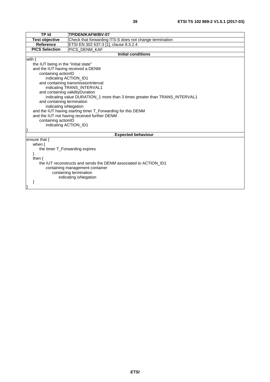|               | I             |  |
|---------------|---------------|--|
| ۰.<br>×<br>۰. | ۰.<br>×<br>۰. |  |

| <b>TP Id</b>                                                     | TP/DEN/KAFW/BV-07                                                          |  |  |
|------------------------------------------------------------------|----------------------------------------------------------------------------|--|--|
| <b>Test objective</b>                                            | Check that forwarding ITS-S does not change termination                    |  |  |
| <b>Reference</b>                                                 | ETSI EN 302 637-3 [1], clause 8.3.2.4                                      |  |  |
| <b>PICS Selection</b>                                            | PICS_DENM_KAF                                                              |  |  |
|                                                                  | <b>Initial conditions</b>                                                  |  |  |
| with $\{$                                                        |                                                                            |  |  |
| the IUT being in the "initial state"                             |                                                                            |  |  |
| and the IUT having received a DENM                               |                                                                            |  |  |
| containing actionID                                              |                                                                            |  |  |
| indicating ACTION_ID1                                            |                                                                            |  |  |
|                                                                  | and containing transmissionInterval                                        |  |  |
|                                                                  | indicating TRANS_INTERVAL1                                                 |  |  |
|                                                                  | and containing validityDuration                                            |  |  |
|                                                                  | indicating value DURATION_1 more than 3 times greater than TRANS_INTERVAL1 |  |  |
|                                                                  | and containing termination                                                 |  |  |
| indicating isNegation                                            |                                                                            |  |  |
| and the IUT having starting timer T_Forwarding for this DENM     |                                                                            |  |  |
| and the IUT not having received further DENM                     |                                                                            |  |  |
| containing actionID                                              |                                                                            |  |  |
| indicating ACTION_ID1                                            |                                                                            |  |  |
| <b>Expected behaviour</b>                                        |                                                                            |  |  |
| ensure that {                                                    |                                                                            |  |  |
| when $\{$                                                        |                                                                            |  |  |
| the timer T_Forwarding expires                                   |                                                                            |  |  |
|                                                                  |                                                                            |  |  |
| then $\{$                                                        |                                                                            |  |  |
| the IUT reconstructs and sends the DENM associated to ACTION ID1 |                                                                            |  |  |
| containing management container                                  |                                                                            |  |  |
| containing termination                                           |                                                                            |  |  |
|                                                                  | indicating isNegation                                                      |  |  |
|                                                                  |                                                                            |  |  |
|                                                                  |                                                                            |  |  |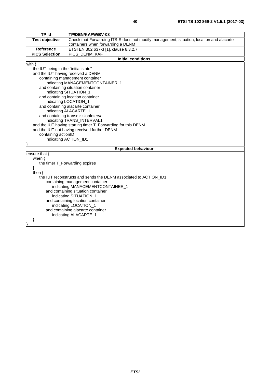| <b>TP Id</b>                                                     | TP/DEN/KAFW/BV-08                                                                        |  |  |
|------------------------------------------------------------------|------------------------------------------------------------------------------------------|--|--|
| <b>Test objective</b>                                            | Check that Forwarding ITS-S does not modify management, situation, location and alacarte |  |  |
|                                                                  | containers when forwarding a DENM                                                        |  |  |
| Reference                                                        | ETSI EN 302 637-3 [1], clause 8.3.2.7                                                    |  |  |
| <b>PICS Selection</b>                                            | PICS_DENM_KAF                                                                            |  |  |
|                                                                  | <b>Initial conditions</b>                                                                |  |  |
| with $\{$                                                        |                                                                                          |  |  |
| the IUT being in the "initial state"                             |                                                                                          |  |  |
| and the IUT having received a DENM                               |                                                                                          |  |  |
|                                                                  | containing management container                                                          |  |  |
|                                                                  | indicating MANAGEMENTCONTAINER_1                                                         |  |  |
|                                                                  | and containing situation container                                                       |  |  |
|                                                                  | indicating SITUATION_1                                                                   |  |  |
|                                                                  | and containing location container                                                        |  |  |
| indicating LOCATION_1                                            |                                                                                          |  |  |
|                                                                  | and containing alacarte container                                                        |  |  |
|                                                                  | indicating ALACARTE_1                                                                    |  |  |
|                                                                  | and containing transmissionInterval                                                      |  |  |
|                                                                  | indicating TRANS_INTERVAL1                                                               |  |  |
|                                                                  | and the IUT having starting timer T_Forwarding for this DENM                             |  |  |
|                                                                  | and the IUT not having received further DENM                                             |  |  |
| containing actionID                                              |                                                                                          |  |  |
| indicating ACTION_ID1                                            |                                                                                          |  |  |
|                                                                  | <b>Expected behaviour</b>                                                                |  |  |
| ensure that $\{$                                                 |                                                                                          |  |  |
| when $\{$                                                        |                                                                                          |  |  |
| the timer T_Forwarding expires                                   |                                                                                          |  |  |
|                                                                  |                                                                                          |  |  |
| then $\{$                                                        |                                                                                          |  |  |
| the IUT reconstructs and sends the DENM associated to ACTION ID1 |                                                                                          |  |  |
| containing management container                                  |                                                                                          |  |  |
| indicating MANACEMENTCONTAINER_1                                 |                                                                                          |  |  |
| and containing situation container                               |                                                                                          |  |  |
| indicating SITUATION_1                                           |                                                                                          |  |  |
| and containing location container                                |                                                                                          |  |  |
| indicating LOCATION_1                                            |                                                                                          |  |  |
| and containing alacarte container                                |                                                                                          |  |  |
|                                                                  | indicating ALACARTE_1                                                                    |  |  |
|                                                                  |                                                                                          |  |  |
|                                                                  |                                                                                          |  |  |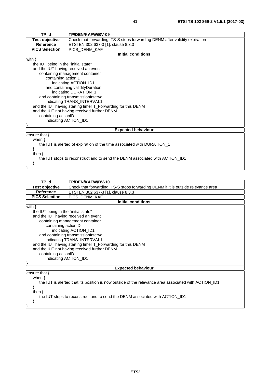| <b>TP Id</b>                                                                 | TP/DEN/KAFW/BV-09                                                           |  |  |  |
|------------------------------------------------------------------------------|-----------------------------------------------------------------------------|--|--|--|
| <b>Test objective</b>                                                        | Check that forwarding ITS-S stops forwarding DENM after validity expiration |  |  |  |
| <b>Reference</b>                                                             | ETSI EN 302 637-3 [1], clause 8.3.3                                         |  |  |  |
| <b>PICS Selection</b>                                                        | PICS_DENM_KAF                                                               |  |  |  |
| <b>Initial conditions</b>                                                    |                                                                             |  |  |  |
| with $\{$                                                                    |                                                                             |  |  |  |
| the IUT being in the "initial state"                                         |                                                                             |  |  |  |
| and the IUT having received an event                                         |                                                                             |  |  |  |
| containing management container                                              |                                                                             |  |  |  |
| containing actionID                                                          |                                                                             |  |  |  |
| indicating ACTION ID1                                                        |                                                                             |  |  |  |
| and containing validity Duration                                             |                                                                             |  |  |  |
| indicating DURATION_1                                                        |                                                                             |  |  |  |
|                                                                              | and containing transmissionInterval                                         |  |  |  |
| indicating TRANS_INTERVAL1                                                   |                                                                             |  |  |  |
| and the IUT having starting timer T_Forwarding for this DENM                 |                                                                             |  |  |  |
|                                                                              | and the IUT not having received further DENM                                |  |  |  |
| containing actionID                                                          |                                                                             |  |  |  |
|                                                                              | indicating ACTION_ID1                                                       |  |  |  |
|                                                                              |                                                                             |  |  |  |
| <b>Expected behaviour</b>                                                    |                                                                             |  |  |  |
| ensure that $\{$                                                             |                                                                             |  |  |  |
| when $\{$                                                                    |                                                                             |  |  |  |
| the IUT is alerted of expiration of the time associated with DURATION_1      |                                                                             |  |  |  |
|                                                                              |                                                                             |  |  |  |
| then $\{$                                                                    |                                                                             |  |  |  |
| the IUT stops to reconstruct and to send the DENM associated with ACTION_ID1 |                                                                             |  |  |  |
|                                                                              |                                                                             |  |  |  |

| TP Id                                                                                                | TP/DEN/KAFW/BV-10                                                                 |  |  |  |
|------------------------------------------------------------------------------------------------------|-----------------------------------------------------------------------------------|--|--|--|
| <b>Test objective</b>                                                                                | Check that forwarding ITS-S stops forwarding DENM if it is outside relevance area |  |  |  |
| <b>Reference</b>                                                                                     | ETSI EN 302 637-3 [1], clause 8.3.3                                               |  |  |  |
| <b>PICS Selection</b>                                                                                | PICS_DENM_KAF                                                                     |  |  |  |
| <b>Initial conditions</b>                                                                            |                                                                                   |  |  |  |
| with $\{$                                                                                            |                                                                                   |  |  |  |
| the IUT being in the "initial state"                                                                 |                                                                                   |  |  |  |
| and the IUT having received an event                                                                 |                                                                                   |  |  |  |
| containing management container                                                                      |                                                                                   |  |  |  |
| containing actionID                                                                                  |                                                                                   |  |  |  |
| indicating ACTION_ID1                                                                                |                                                                                   |  |  |  |
|                                                                                                      | and containing transmissionInterval                                               |  |  |  |
| indicating TRANS_INTERVAL1                                                                           |                                                                                   |  |  |  |
|                                                                                                      | and the IUT having starting timer T_Forwarding for this DENM                      |  |  |  |
|                                                                                                      | and the IUT not having received further DENM                                      |  |  |  |
| containing actionID                                                                                  |                                                                                   |  |  |  |
|                                                                                                      | indicating ACTION_ID1                                                             |  |  |  |
|                                                                                                      |                                                                                   |  |  |  |
| <b>Expected behaviour</b>                                                                            |                                                                                   |  |  |  |
| ensure that {                                                                                        |                                                                                   |  |  |  |
| when $\{$                                                                                            |                                                                                   |  |  |  |
| the IUT is alerted that its position is now outside of the relevance area associated with ACTION_ID1 |                                                                                   |  |  |  |
|                                                                                                      |                                                                                   |  |  |  |
| then $\{$                                                                                            |                                                                                   |  |  |  |
| the IUT stops to reconstruct and to send the DENM associated with ACTION_ID1                         |                                                                                   |  |  |  |
|                                                                                                      |                                                                                   |  |  |  |
|                                                                                                      |                                                                                   |  |  |  |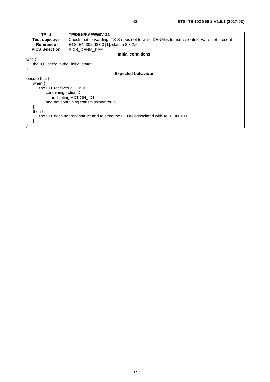| <b>TP Id</b>                                                                 | TP/DEN/KAFW/BV-11                                                                        |  |  |  |
|------------------------------------------------------------------------------|------------------------------------------------------------------------------------------|--|--|--|
| <b>Test objective</b>                                                        | Check that forwarding ITS-S does not forward DENM is transmissionInterval is not present |  |  |  |
| Reference                                                                    | ETSI EN 302 637-3 [1], clause 8.3.2.5                                                    |  |  |  |
| <b>PICS Selection</b>                                                        | PICS_DENM_KAF                                                                            |  |  |  |
| <b>Initial conditions</b>                                                    |                                                                                          |  |  |  |
| with {                                                                       |                                                                                          |  |  |  |
| the IUT being in the "initial state"                                         |                                                                                          |  |  |  |
|                                                                              |                                                                                          |  |  |  |
| <b>Expected behaviour</b>                                                    |                                                                                          |  |  |  |
| ensure that {                                                                |                                                                                          |  |  |  |
| when $\{$                                                                    |                                                                                          |  |  |  |
| the IUT receives a DENM                                                      |                                                                                          |  |  |  |
| containing actionID                                                          |                                                                                          |  |  |  |
| indicating ACTION ID1                                                        |                                                                                          |  |  |  |
| and not containing transmissionInterval                                      |                                                                                          |  |  |  |
|                                                                              |                                                                                          |  |  |  |
| then $\{$                                                                    |                                                                                          |  |  |  |
| the IUT does not reconstruct and to send the DENM associated with ACTION ID1 |                                                                                          |  |  |  |
|                                                                              |                                                                                          |  |  |  |
|                                                                              |                                                                                          |  |  |  |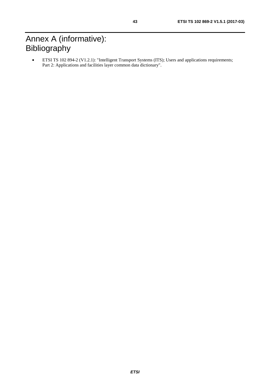# <span id="page-42-0"></span>Annex A (informative): Bibliography

• ETSI TS 102 894-2 (V1.2.1): "Intelligent Transport Systems (ITS); Users and applications requirements; Part 2: Applications and facilities layer common data dictionary".